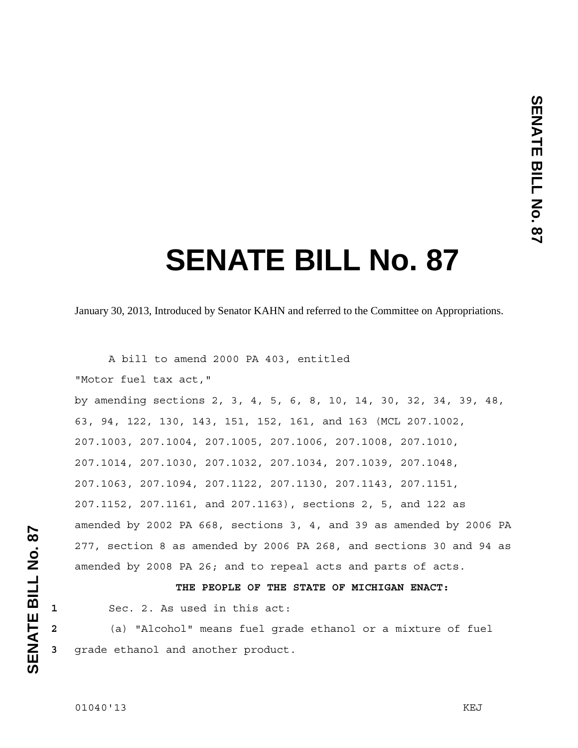# **SENATE BILL No. 87**

January 30, 2013, Introduced by Senator KAHN and referred to the Committee on Appropriations.

 A bill to amend 2000 PA 403, entitled "Motor fuel tax act," by amending sections 2, 3, 4, 5, 6, 8, 10, 14, 30, 32, 34, 39, 48, 63, 94, 122, 130, 143, 151, 152, 161, and 163 (MCL 207.1002, 207.1003, 207.1004, 207.1005, 207.1006, 207.1008, 207.1010, 207.1014, 207.1030, 207.1032, 207.1034, 207.1039, 207.1048, 207.1063, 207.1094, 207.1122, 207.1130, 207.1143, 207.1151, 207.1152, 207.1161, and 207.1163), sections 2, 5, and 122 as amended by 2002 PA 668, sections 3, 4, and 39 as amended by 2006 PA 277, section 8 as amended by 2006 PA 268, and sections 30 and 94 as amended by 2008 PA 26; and to repeal acts and parts of acts.

## **THE PEOPLE OF THE STATE OF MICHIGAN ENACT:**

**1** Sec. 2. As used in this act:

**2** (a) "Alcohol" means fuel grade ethanol or a mixture of fuel **3** grade ethanol and another product.

**SENATE BILL No. 87** 

SENATE BILL No. 87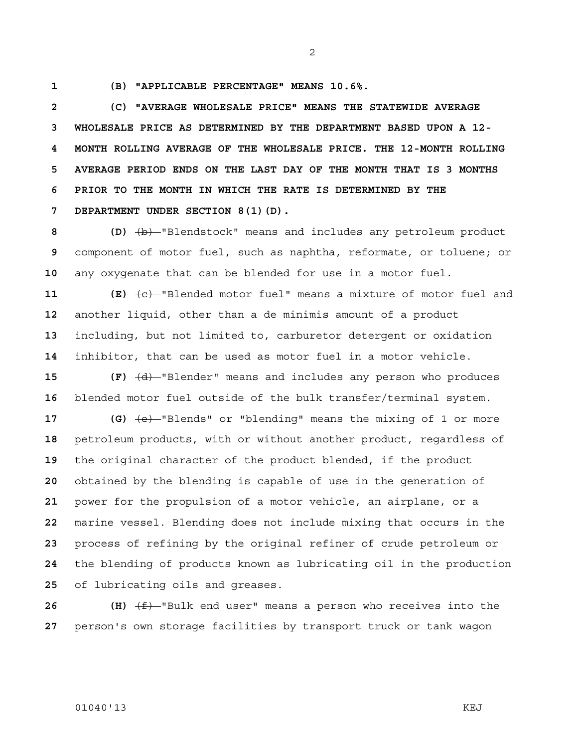**1 (B) "APPLICABLE PERCENTAGE" MEANS 10.6%.** 

**2 (C) "AVERAGE WHOLESALE PRICE" MEANS THE STATEWIDE AVERAGE 3 WHOLESALE PRICE AS DETERMINED BY THE DEPARTMENT BASED UPON A 12- 4 MONTH ROLLING AVERAGE OF THE WHOLESALE PRICE. THE 12-MONTH ROLLING 5 AVERAGE PERIOD ENDS ON THE LAST DAY OF THE MONTH THAT IS 3 MONTHS 6 PRIOR TO THE MONTH IN WHICH THE RATE IS DETERMINED BY THE 7 DEPARTMENT UNDER SECTION 8(1)(D).**

**8 (D)** (b) "Blendstock" means and includes any petroleum product **9** component of motor fuel, such as naphtha, reformate, or toluene; or **10** any oxygenate that can be blended for use in a motor fuel.

 **(E)**  $\left\langle e\right\rangle$ -"Blended motor fuel" means a mixture of motor fuel and another liquid, other than a de minimis amount of a product including, but not limited to, carburetor detergent or oxidation inhibitor, that can be used as motor fuel in a motor vehicle.

**15 (F)**  $\overline{(d)}$  "Blender" means and includes any person who produces **16** blended motor fuel outside of the bulk transfer/terminal system.

**17 (G)** (e) "Blends" or "blending" means the mixing of 1 or more petroleum products, with or without another product, regardless of the original character of the product blended, if the product obtained by the blending is capable of use in the generation of power for the propulsion of a motor vehicle, an airplane, or a marine vessel. Blending does not include mixing that occurs in the process of refining by the original refiner of crude petroleum or the blending of products known as lubricating oil in the production of lubricating oils and greases.

**26 (H)** (f) "Bulk end user" means a person who receives into the **27** person's own storage facilities by transport truck or tank wagon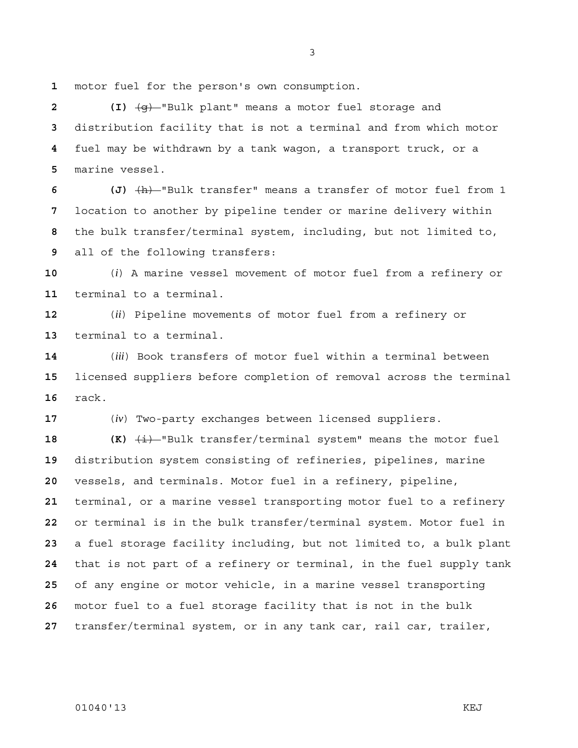motor fuel for the person's own consumption.

**2 (I)** (g) "Bulk plant" means a motor fuel storage and distribution facility that is not a terminal and from which motor fuel may be withdrawn by a tank wagon, a transport truck, or a marine vessel.

**6 (J)** (h) "Bulk transfer" means a transfer of motor fuel from 1 location to another by pipeline tender or marine delivery within the bulk transfer/terminal system, including, but not limited to, all of the following transfers:

(*i*) A marine vessel movement of motor fuel from a refinery or terminal to a terminal.

(*ii*) Pipeline movements of motor fuel from a refinery or terminal to a terminal.

(*iii*) Book transfers of motor fuel within a terminal between licensed suppliers before completion of removal across the terminal rack.

(*iv*) Two-party exchanges between licensed suppliers.

 **(K)**  $\overline{\text{4i}}$  "Bulk transfer/terminal system" means the motor fuel distribution system consisting of refineries, pipelines, marine vessels, and terminals. Motor fuel in a refinery, pipeline, terminal, or a marine vessel transporting motor fuel to a refinery or terminal is in the bulk transfer/terminal system. Motor fuel in a fuel storage facility including, but not limited to, a bulk plant that is not part of a refinery or terminal, in the fuel supply tank of any engine or motor vehicle, in a marine vessel transporting motor fuel to a fuel storage facility that is not in the bulk transfer/terminal system, or in any tank car, rail car, trailer,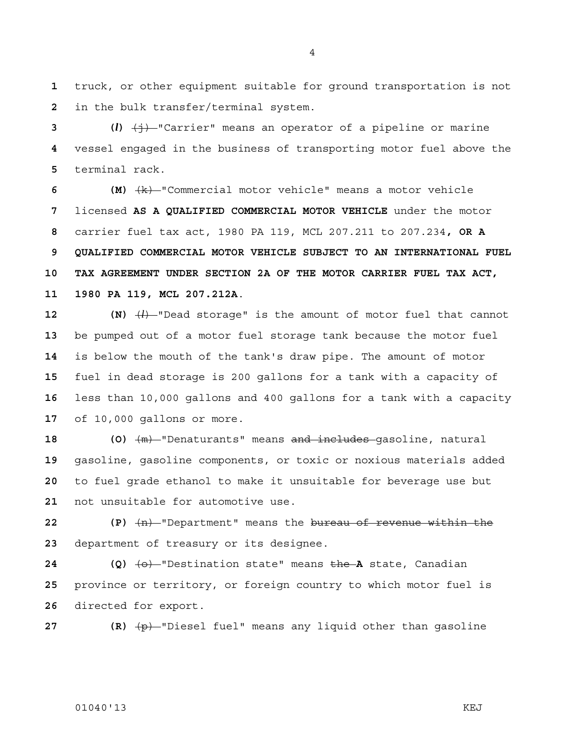truck, or other equipment suitable for ground transportation is not in the bulk transfer/terminal system.

**3 (***l***)** (j) "Carrier" means an operator of a pipeline or marine vessel engaged in the business of transporting motor fuel above the terminal rack.

**6 (M)** (k) "Commercial motor vehicle" means a motor vehicle licensed **AS A QUALIFIED COMMERCIAL MOTOR VEHICLE** under the motor carrier fuel tax act, 1980 PA 119, MCL 207.211 to 207.234**, OR A 9 QUALIFIED COMMERCIAL MOTOR VEHICLE SUBJECT TO AN INTERNATIONAL FUEL 10 TAX AGREEMENT UNDER SECTION 2A OF THE MOTOR CARRIER FUEL TAX ACT, 11 1980 PA 119, MCL 207.212A**.

**12 (N)** (*l*) "Dead storage" is the amount of motor fuel that cannot be pumped out of a motor fuel storage tank because the motor fuel is below the mouth of the tank's draw pipe. The amount of motor fuel in dead storage is 200 gallons for a tank with a capacity of less than 10,000 gallons and 400 gallons for a tank with a capacity of 10,000 gallons or more.

**18 (O)** (m) "Denaturants" means and includes gasoline, natural gasoline, gasoline components, or toxic or noxious materials added to fuel grade ethanol to make it unsuitable for beverage use but not unsuitable for automotive use.

**22 (P)** (n) "Department" means the bureau of revenue within the department of treasury or its designee.

**24 (Q)**  $\left\{\Theta\right\}$  "Destination state" means the **A** state, Canadian province or territory, or foreign country to which motor fuel is directed for export.

**27 (R)** (p) "Diesel fuel" means any liquid other than gasoline

### 01040'13 KEJ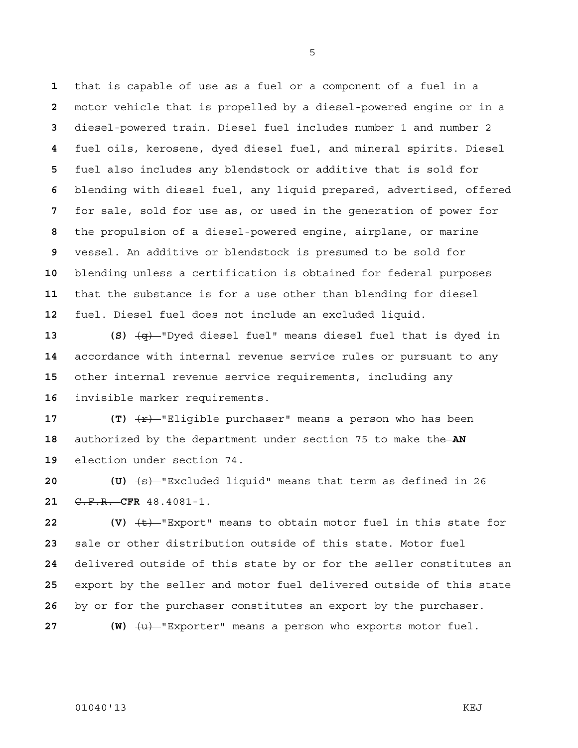that is capable of use as a fuel or a component of a fuel in a motor vehicle that is propelled by a diesel-powered engine or in a diesel-powered train. Diesel fuel includes number 1 and number 2 fuel oils, kerosene, dyed diesel fuel, and mineral spirits. Diesel fuel also includes any blendstock or additive that is sold for blending with diesel fuel, any liquid prepared, advertised, offered for sale, sold for use as, or used in the generation of power for the propulsion of a diesel-powered engine, airplane, or marine vessel. An additive or blendstock is presumed to be sold for blending unless a certification is obtained for federal purposes that the substance is for a use other than blending for diesel fuel. Diesel fuel does not include an excluded liquid.

**13 (S)** (q) "Dyed diesel fuel" means diesel fuel that is dyed in accordance with internal revenue service rules or pursuant to any other internal revenue service requirements, including any invisible marker requirements.

**17 (T)**  $\overline{r}$  **(T)**  $\overline{r}$  Eligible purchaser" means a person who has been authorized by the department under section 75 to make the **AN**  election under section 74.

**20 (U)** (s) "Excluded liquid" means that term as defined in 26 C.F.R. **CFR** 48.4081-1.

**22 (V)** (t) "Export" means to obtain motor fuel in this state for sale or other distribution outside of this state. Motor fuel delivered outside of this state by or for the seller constitutes an export by the seller and motor fuel delivered outside of this state by or for the purchaser constitutes an export by the purchaser.

27 **(W)**  $\left\langle u \right\rangle$ -"Exporter" means a person who exports motor fuel.

### 01040'13 KEJ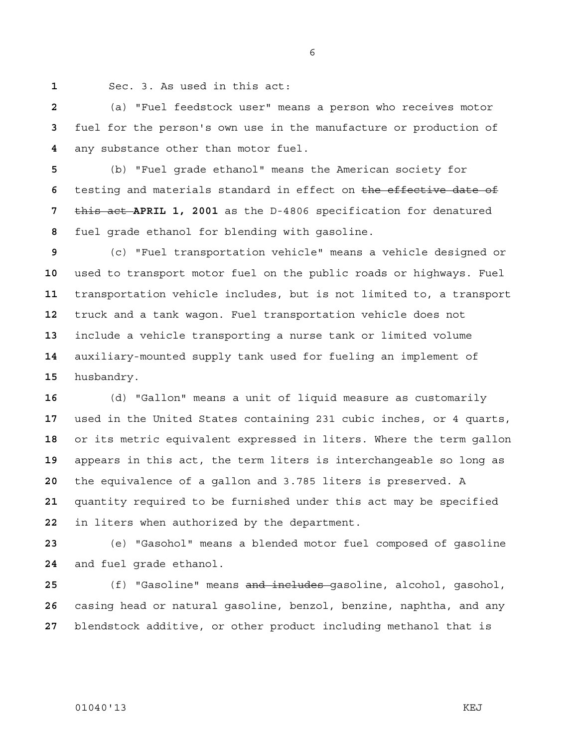Sec. 3. As used in this act:

(a) "Fuel feedstock user" means a person who receives motor fuel for the person's own use in the manufacture or production of any substance other than motor fuel.

(b) "Fuel grade ethanol" means the American society for testing and materials standard in effect on the effective date of this act **APRIL 1, 2001** as the D-4806 specification for denatured fuel grade ethanol for blending with gasoline.

(c) "Fuel transportation vehicle" means a vehicle designed or used to transport motor fuel on the public roads or highways. Fuel transportation vehicle includes, but is not limited to, a transport truck and a tank wagon. Fuel transportation vehicle does not include a vehicle transporting a nurse tank or limited volume auxiliary-mounted supply tank used for fueling an implement of husbandry.

(d) "Gallon" means a unit of liquid measure as customarily used in the United States containing 231 cubic inches, or 4 quarts, or its metric equivalent expressed in liters. Where the term gallon appears in this act, the term liters is interchangeable so long as the equivalence of a gallon and 3.785 liters is preserved. A quantity required to be furnished under this act may be specified in liters when authorized by the department.

(e) "Gasohol" means a blended motor fuel composed of gasoline and fuel grade ethanol.

(f) "Gasoline" means and includes gasoline, alcohol, gasohol, casing head or natural gasoline, benzol, benzine, naphtha, and any blendstock additive, or other product including methanol that is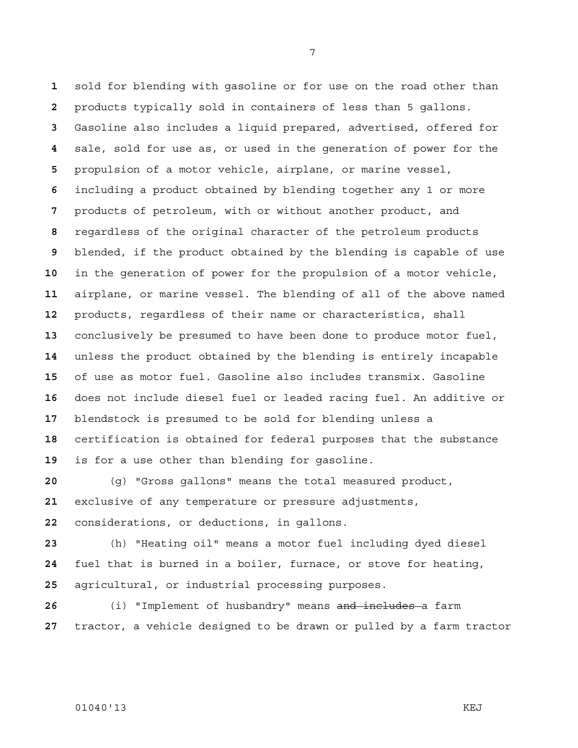sold for blending with gasoline or for use on the road other than products typically sold in containers of less than 5 gallons. Gasoline also includes a liquid prepared, advertised, offered for sale, sold for use as, or used in the generation of power for the propulsion of a motor vehicle, airplane, or marine vessel, including a product obtained by blending together any 1 or more products of petroleum, with or without another product, and regardless of the original character of the petroleum products blended, if the product obtained by the blending is capable of use in the generation of power for the propulsion of a motor vehicle, airplane, or marine vessel. The blending of all of the above named products, regardless of their name or characteristics, shall conclusively be presumed to have been done to produce motor fuel, unless the product obtained by the blending is entirely incapable of use as motor fuel. Gasoline also includes transmix. Gasoline does not include diesel fuel or leaded racing fuel. An additive or blendstock is presumed to be sold for blending unless a certification is obtained for federal purposes that the substance is for a use other than blending for gasoline.

(g) "Gross gallons" means the total measured product, exclusive of any temperature or pressure adjustments, considerations, or deductions, in gallons.

(h) "Heating oil" means a motor fuel including dyed diesel fuel that is burned in a boiler, furnace, or stove for heating, agricultural, or industrial processing purposes.

(i) "Implement of husbandry" means and includes a farm tractor, a vehicle designed to be drawn or pulled by a farm tractor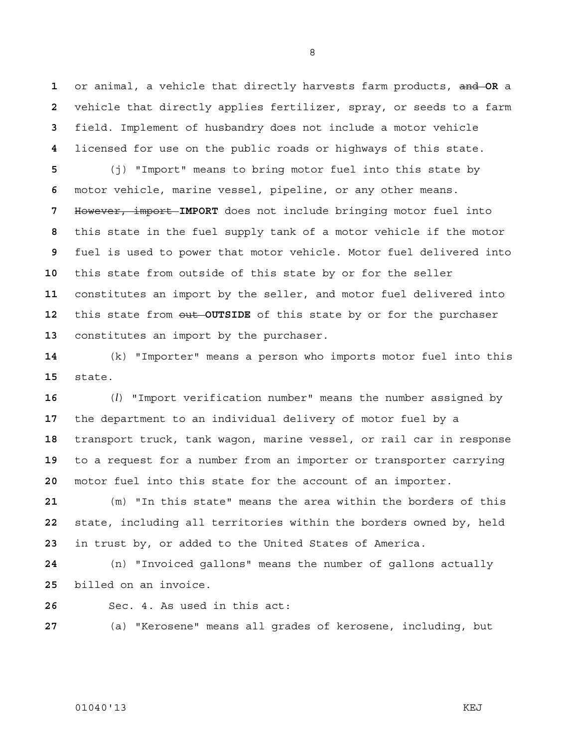or animal, a vehicle that directly harvests farm products, and **OR** a vehicle that directly applies fertilizer, spray, or seeds to a farm field. Implement of husbandry does not include a motor vehicle licensed for use on the public roads or highways of this state. (j) "Import" means to bring motor fuel into this state by motor vehicle, marine vessel, pipeline, or any other means. However, import **IMPORT** does not include bringing motor fuel into this state in the fuel supply tank of a motor vehicle if the motor fuel is used to power that motor vehicle. Motor fuel delivered into this state from outside of this state by or for the seller constitutes an import by the seller, and motor fuel delivered into this state from out **OUTSIDE** of this state by or for the purchaser constitutes an import by the purchaser.

(k) "Importer" means a person who imports motor fuel into this state.

(*l*) "Import verification number" means the number assigned by the department to an individual delivery of motor fuel by a transport truck, tank wagon, marine vessel, or rail car in response to a request for a number from an importer or transporter carrying motor fuel into this state for the account of an importer.

(m) "In this state" means the area within the borders of this state, including all territories within the borders owned by, held in trust by, or added to the United States of America.

(n) "Invoiced gallons" means the number of gallons actually billed on an invoice.

Sec. 4. As used in this act:

(a) "Kerosene" means all grades of kerosene, including, but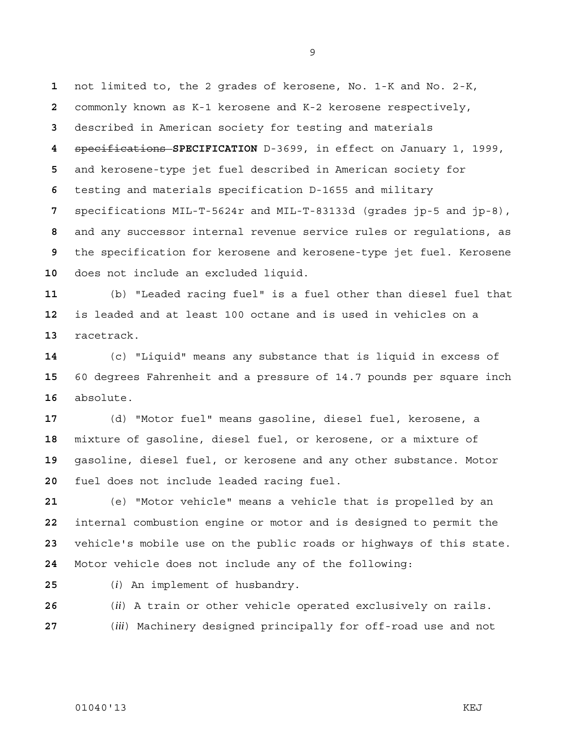not limited to, the 2 grades of kerosene, No. 1-K and No. 2-K, commonly known as K-1 kerosene and K-2 kerosene respectively, described in American society for testing and materials specifications **SPECIFICATION** D-3699, in effect on January 1, 1999, and kerosene-type jet fuel described in American society for testing and materials specification D-1655 and military specifications MIL-T-5624r and MIL-T-83133d (grades jp-5 and jp-8), and any successor internal revenue service rules or regulations, as the specification for kerosene and kerosene-type jet fuel. Kerosene does not include an excluded liquid.

(b) "Leaded racing fuel" is a fuel other than diesel fuel that is leaded and at least 100 octane and is used in vehicles on a racetrack.

(c) "Liquid" means any substance that is liquid in excess of 60 degrees Fahrenheit and a pressure of 14.7 pounds per square inch absolute.

(d) "Motor fuel" means gasoline, diesel fuel, kerosene, a mixture of gasoline, diesel fuel, or kerosene, or a mixture of gasoline, diesel fuel, or kerosene and any other substance. Motor fuel does not include leaded racing fuel.

(e) "Motor vehicle" means a vehicle that is propelled by an internal combustion engine or motor and is designed to permit the vehicle's mobile use on the public roads or highways of this state. Motor vehicle does not include any of the following:

(*i*) An implement of husbandry.

(*ii*) A train or other vehicle operated exclusively on rails.

(*iii*) Machinery designed principally for off-road use and not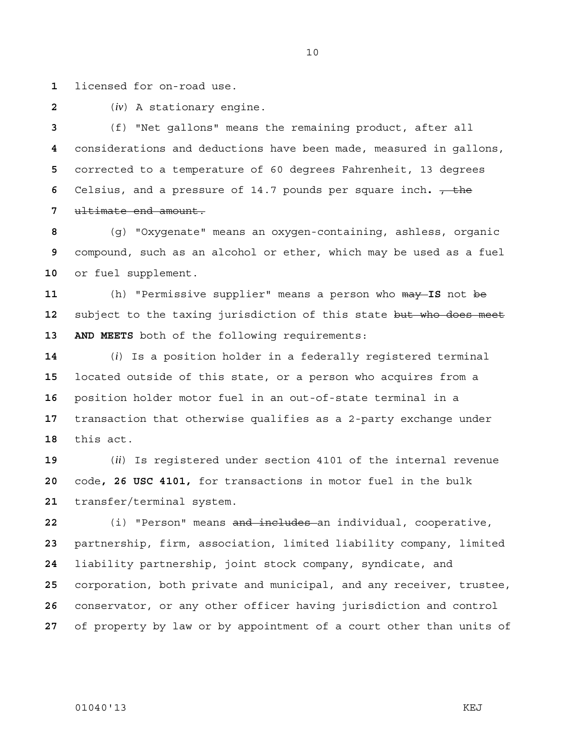licensed for on-road use.

(*iv*) A stationary engine.

(f) "Net gallons" means the remaining product, after all considerations and deductions have been made, measured in gallons, corrected to a temperature of 60 degrees Fahrenheit, 13 degrees Celsius, and a pressure of 14.7 pounds per square inch.  $\frac{1}{100}$ ultimate end amount.

(g) "Oxygenate" means an oxygen-containing, ashless, organic compound, such as an alcohol or ether, which may be used as a fuel or fuel supplement.

(h) "Permissive supplier" means a person who may **IS** not be subject to the taxing jurisdiction of this state but who does meet **13 AND MEETS** both of the following requirements:

(*i*) Is a position holder in a federally registered terminal located outside of this state, or a person who acquires from a position holder motor fuel in an out-of-state terminal in a transaction that otherwise qualifies as a 2-party exchange under this act.

(*ii*) Is registered under section 4101 of the internal revenue code**, 26 USC 4101,** for transactions in motor fuel in the bulk transfer/terminal system.

(i) "Person" means and includes an individual, cooperative, partnership, firm, association, limited liability company, limited liability partnership, joint stock company, syndicate, and corporation, both private and municipal, and any receiver, trustee, conservator, or any other officer having jurisdiction and control of property by law or by appointment of a court other than units of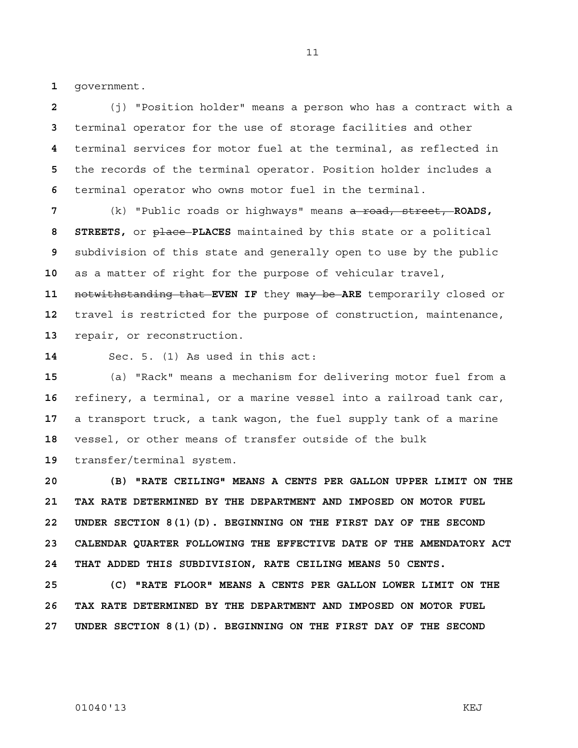government.

(j) "Position holder" means a person who has a contract with a terminal operator for the use of storage facilities and other terminal services for motor fuel at the terminal, as reflected in the records of the terminal operator. Position holder includes a terminal operator who owns motor fuel in the terminal.

(k) "Public roads or highways" means a road, street, **ROADS, STREETS,** or place **PLACES** maintained by this state or a political subdivision of this state and generally open to use by the public as a matter of right for the purpose of vehicular travel,

notwithstanding that **EVEN IF** they may be **ARE** temporarily closed or travel is restricted for the purpose of construction, maintenance, repair, or reconstruction.

Sec. 5. (1) As used in this act:

(a) "Rack" means a mechanism for delivering motor fuel from a refinery, a terminal, or a marine vessel into a railroad tank car, a transport truck, a tank wagon, the fuel supply tank of a marine vessel, or other means of transfer outside of the bulk transfer/terminal system.

**20 (B) "RATE CEILING" MEANS A CENTS PER GALLON UPPER LIMIT ON THE 21 TAX RATE DETERMINED BY THE DEPARTMENT AND IMPOSED ON MOTOR FUEL 22 UNDER SECTION 8(1)(D). BEGINNING ON THE FIRST DAY OF THE SECOND 23 CALENDAR QUARTER FOLLOWING THE EFFECTIVE DATE OF THE AMENDATORY ACT 24 THAT ADDED THIS SUBDIVISION, RATE CEILING MEANS 50 CENTS.** 

**25 (C) "RATE FLOOR" MEANS A CENTS PER GALLON LOWER LIMIT ON THE 26 TAX RATE DETERMINED BY THE DEPARTMENT AND IMPOSED ON MOTOR FUEL 27 UNDER SECTION 8(1)(D). BEGINNING ON THE FIRST DAY OF THE SECOND**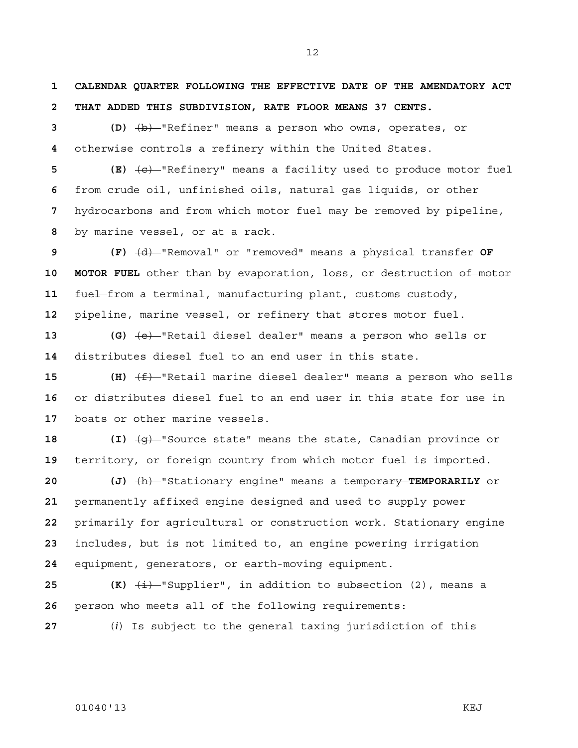**1 CALENDAR QUARTER FOLLOWING THE EFFECTIVE DATE OF THE AMENDATORY ACT 2 THAT ADDED THIS SUBDIVISION, RATE FLOOR MEANS 37 CENTS.**

**3 (D)** (b) "Refiner" means a person who owns, operates, or **4** otherwise controls a refinery within the United States.

**5 (E)** (c) "Refinery" means a facility used to produce motor fuel from crude oil, unfinished oils, natural gas liquids, or other hydrocarbons and from which motor fuel may be removed by pipeline, by marine vessel, or at a rack.

**9 (F)** (d) "Removal" or "removed" means a physical transfer **OF 10 MOTOR FUEL** other than by evaporation, loss, or destruction of motor 11 **fuel** from a terminal, manufacturing plant, customs custody, **12** pipeline, marine vessel, or refinery that stores motor fuel.

**13 (G)** (e) "Retail diesel dealer" means a person who sells or **14** distributes diesel fuel to an end user in this state.

**15 (H)**  $\left(\frac{f}{f}\right)$  "Retail marine diesel dealer" means a person who sells **16** or distributes diesel fuel to an end user in this state for use in **17** boats or other marine vessels.

**18 (I)** (g) "Source state" means the state, Canadian province or **19** territory, or foreign country from which motor fuel is imported.

**20 (J)** (h) "Stationary engine" means a temporary **TEMPORARILY** or permanently affixed engine designed and used to supply power primarily for agricultural or construction work. Stationary engine includes, but is not limited to, an engine powering irrigation equipment, generators, or earth-moving equipment.

**25 (K)**  $\left(\frac{1}{k}\right)$  "Supplier", in addition to subsection (2), means a **26** person who meets all of the following requirements:

**27** (*i*) Is subject to the general taxing jurisdiction of this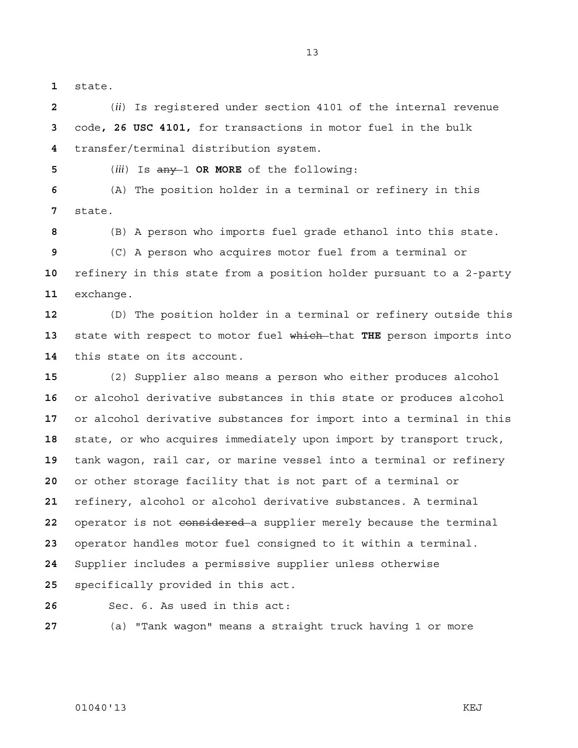state.

(*ii*) Is registered under section 4101 of the internal revenue code**, 26 USC 4101,** for transactions in motor fuel in the bulk transfer/terminal distribution system.

(*iii*) Is any 1 **OR MORE** of the following:

(A) The position holder in a terminal or refinery in this state.

(B) A person who imports fuel grade ethanol into this state.

(C) A person who acquires motor fuel from a terminal or refinery in this state from a position holder pursuant to a 2-party exchange.

(D) The position holder in a terminal or refinery outside this state with respect to motor fuel which that **THE** person imports into this state on its account.

(2) Supplier also means a person who either produces alcohol or alcohol derivative substances in this state or produces alcohol or alcohol derivative substances for import into a terminal in this state, or who acquires immediately upon import by transport truck, tank wagon, rail car, or marine vessel into a terminal or refinery or other storage facility that is not part of a terminal or refinery, alcohol or alcohol derivative substances. A terminal operator is not considered a supplier merely because the terminal operator handles motor fuel consigned to it within a terminal. Supplier includes a permissive supplier unless otherwise specifically provided in this act.

Sec. 6. As used in this act:

(a) "Tank wagon" means a straight truck having 1 or more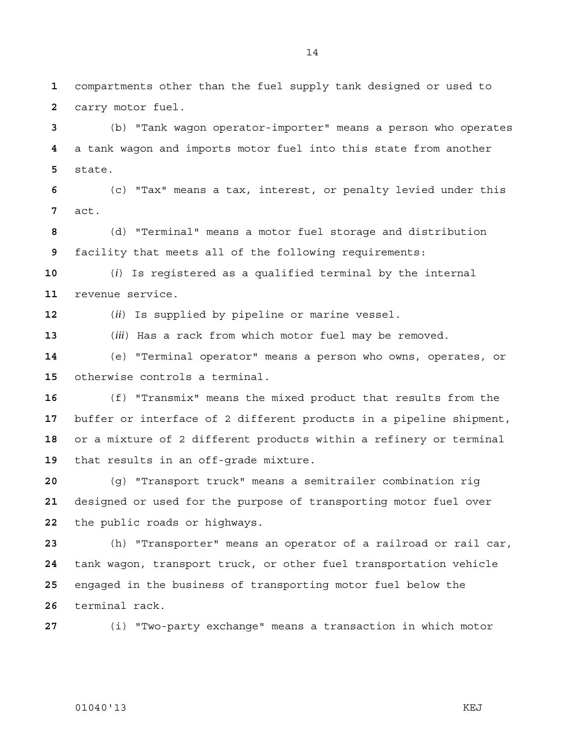compartments other than the fuel supply tank designed or used to carry motor fuel.

(b) "Tank wagon operator-importer" means a person who operates a tank wagon and imports motor fuel into this state from another state.

(c) "Tax" means a tax, interest, or penalty levied under this act.

(d) "Terminal" means a motor fuel storage and distribution facility that meets all of the following requirements:

(*i*) Is registered as a qualified terminal by the internal revenue service.

(*ii*) Is supplied by pipeline or marine vessel.

(*iii*) Has a rack from which motor fuel may be removed.

(e) "Terminal operator" means a person who owns, operates, or otherwise controls a terminal.

(f) "Transmix" means the mixed product that results from the buffer or interface of 2 different products in a pipeline shipment, or a mixture of 2 different products within a refinery or terminal that results in an off-grade mixture.

(g) "Transport truck" means a semitrailer combination rig designed or used for the purpose of transporting motor fuel over the public roads or highways.

(h) "Transporter" means an operator of a railroad or rail car, tank wagon, transport truck, or other fuel transportation vehicle engaged in the business of transporting motor fuel below the terminal rack.

(i) "Two-party exchange" means a transaction in which motor

### 01040'13 KEJ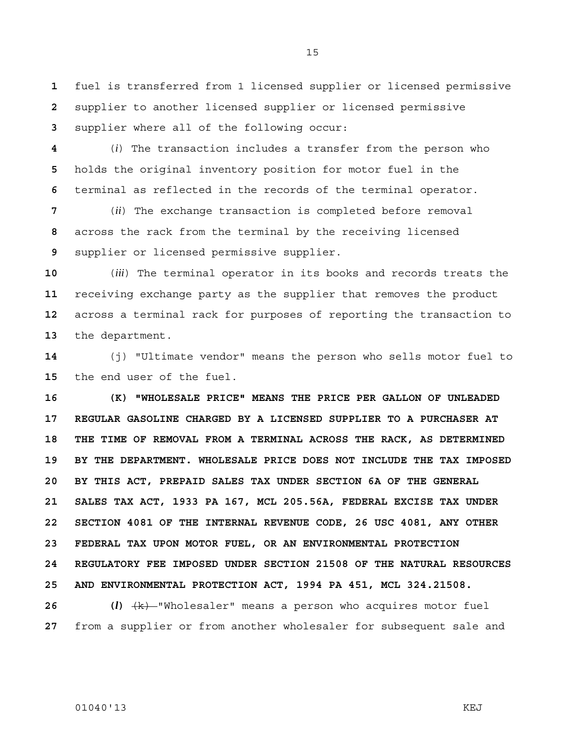**1** fuel is transferred from 1 licensed supplier or licensed permissive **2** supplier to another licensed supplier or licensed permissive **3** supplier where all of the following occur:

**4** (*i*) The transaction includes a transfer from the person who **5** holds the original inventory position for motor fuel in the **6** terminal as reflected in the records of the terminal operator.

**7** (*ii*) The exchange transaction is completed before removal **8** across the rack from the terminal by the receiving licensed **9** supplier or licensed permissive supplier.

(*iii*) The terminal operator in its books and records treats the receiving exchange party as the supplier that removes the product across a terminal rack for purposes of reporting the transaction to the department.

**14** (j) "Ultimate vendor" means the person who sells motor fuel to **15** the end user of the fuel.

**16 (K) "WHOLESALE PRICE" MEANS THE PRICE PER GALLON OF UNLEADED 17 REGULAR GASOLINE CHARGED BY A LICENSED SUPPLIER TO A PURCHASER AT 18 THE TIME OF REMOVAL FROM A TERMINAL ACROSS THE RACK, AS DETERMINED 19 BY THE DEPARTMENT. WHOLESALE PRICE DOES NOT INCLUDE THE TAX IMPOSED 20 BY THIS ACT, PREPAID SALES TAX UNDER SECTION 6A OF THE GENERAL 21 SALES TAX ACT, 1933 PA 167, MCL 205.56A, FEDERAL EXCISE TAX UNDER 22 SECTION 4081 OF THE INTERNAL REVENUE CODE, 26 USC 4081, ANY OTHER 23 FEDERAL TAX UPON MOTOR FUEL, OR AN ENVIRONMENTAL PROTECTION 24 REGULATORY FEE IMPOSED UNDER SECTION 21508 OF THE NATURAL RESOURCES 25 AND ENVIRONMENTAL PROTECTION ACT, 1994 PA 451, MCL 324.21508.**

**26 (***l***)** (k) "Wholesaler" means a person who acquires motor fuel **27** from a supplier or from another wholesaler for subsequent sale and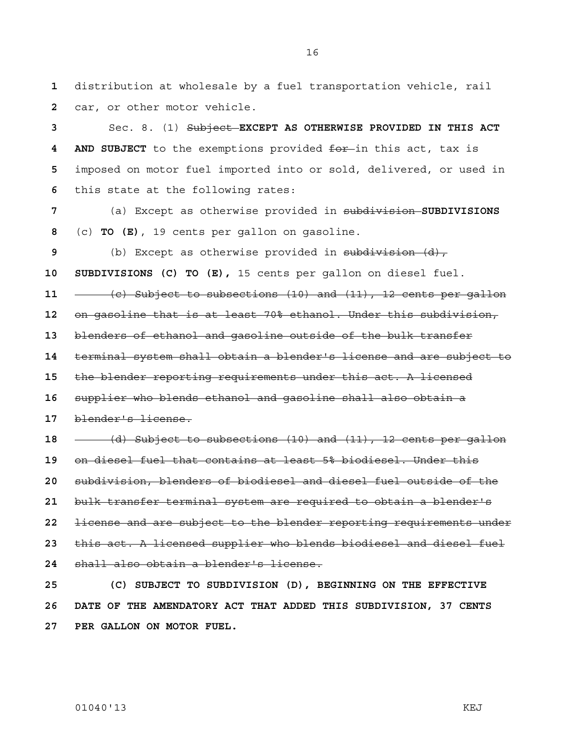distribution at wholesale by a fuel transportation vehicle, rail car, or other motor vehicle.

Sec. 8. (1) Subject **EXCEPT AS OTHERWISE PROVIDED IN THIS ACT 4 AND SUBJECT** to the exemptions provided for in this act, tax is imposed on motor fuel imported into or sold, delivered, or used in this state at the following rates:

(a) Except as otherwise provided in subdivision **SUBDIVISIONS**  (c) **TO (E)**, 19 cents per gallon on gasoline.

(b) Except as otherwise provided in subdivision (d),

**10 SUBDIVISIONS (C) TO (E),** 15 cents per gallon on diesel fuel.

(c) Subject to subsections (10) and (11), 12 cents per gallon

on gasoline that is at least 70% ethanol. Under this subdivision,

blenders of ethanol and gasoline outside of the bulk transfer

terminal system shall obtain a blender's license and are subject to

the blender reporting requirements under this act. A licensed

supplier who blends ethanol and gasoline shall also obtain a

blender's license.

(d) Subject to subsections (10) and (11), 12 cents per gallon on diesel fuel that contains at least 5% biodiesel. Under this subdivision, blenders of biodiesel and diesel fuel outside of the bulk transfer terminal system are required to obtain a blender's license and are subject to the blender reporting requirements under this act. A licensed supplier who blends biodiesel and diesel fuel shall also obtain a blender's license.

**25 (C) SUBJECT TO SUBDIVISION (D), BEGINNING ON THE EFFECTIVE 26 DATE OF THE AMENDATORY ACT THAT ADDED THIS SUBDIVISION, 37 CENTS 27 PER GALLON ON MOTOR FUEL.**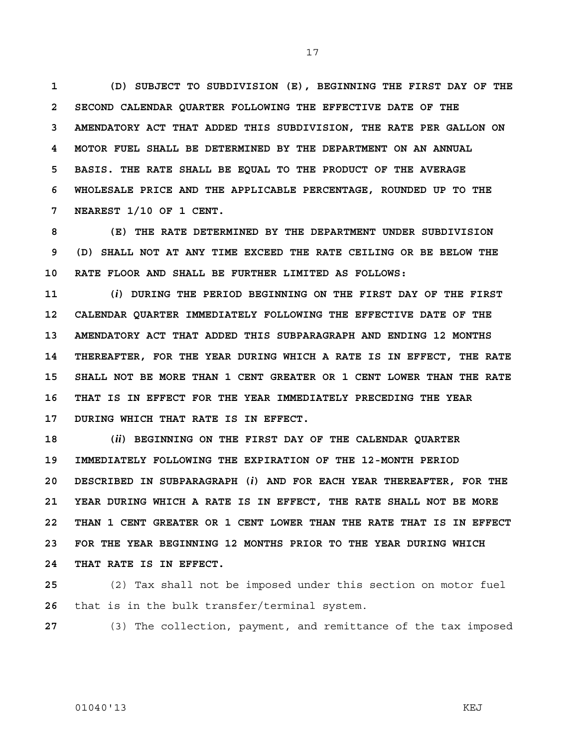**1 (D) SUBJECT TO SUBDIVISION (E), BEGINNING THE FIRST DAY OF THE 2 SECOND CALENDAR QUARTER FOLLOWING THE EFFECTIVE DATE OF THE 3 AMENDATORY ACT THAT ADDED THIS SUBDIVISION, THE RATE PER GALLON ON 4 MOTOR FUEL SHALL BE DETERMINED BY THE DEPARTMENT ON AN ANNUAL 5 BASIS. THE RATE SHALL BE EQUAL TO THE PRODUCT OF THE AVERAGE 6 WHOLESALE PRICE AND THE APPLICABLE PERCENTAGE, ROUNDED UP TO THE 7 NEAREST 1/10 OF 1 CENT.** 

**8 (E) THE RATE DETERMINED BY THE DEPARTMENT UNDER SUBDIVISION 9 (D) SHALL NOT AT ANY TIME EXCEED THE RATE CEILING OR BE BELOW THE 10 RATE FLOOR AND SHALL BE FURTHER LIMITED AS FOLLOWS:** 

**11 (***i***) DURING THE PERIOD BEGINNING ON THE FIRST DAY OF THE FIRST 12 CALENDAR QUARTER IMMEDIATELY FOLLOWING THE EFFECTIVE DATE OF THE 13 AMENDATORY ACT THAT ADDED THIS SUBPARAGRAPH AND ENDING 12 MONTHS 14 THEREAFTER, FOR THE YEAR DURING WHICH A RATE IS IN EFFECT, THE RATE 15 SHALL NOT BE MORE THAN 1 CENT GREATER OR 1 CENT LOWER THAN THE RATE 16 THAT IS IN EFFECT FOR THE YEAR IMMEDIATELY PRECEDING THE YEAR 17 DURING WHICH THAT RATE IS IN EFFECT.** 

**18 (***ii***) BEGINNING ON THE FIRST DAY OF THE CALENDAR QUARTER 19 IMMEDIATELY FOLLOWING THE EXPIRATION OF THE 12-MONTH PERIOD 20 DESCRIBED IN SUBPARAGRAPH (***i***) AND FOR EACH YEAR THEREAFTER, FOR THE 21 YEAR DURING WHICH A RATE IS IN EFFECT, THE RATE SHALL NOT BE MORE 22 THAN 1 CENT GREATER OR 1 CENT LOWER THAN THE RATE THAT IS IN EFFECT 23 FOR THE YEAR BEGINNING 12 MONTHS PRIOR TO THE YEAR DURING WHICH 24 THAT RATE IS IN EFFECT.**

**25** (2) Tax shall not be imposed under this section on motor fuel **26** that is in the bulk transfer/terminal system.

**27** (3) The collection, payment, and remittance of the tax imposed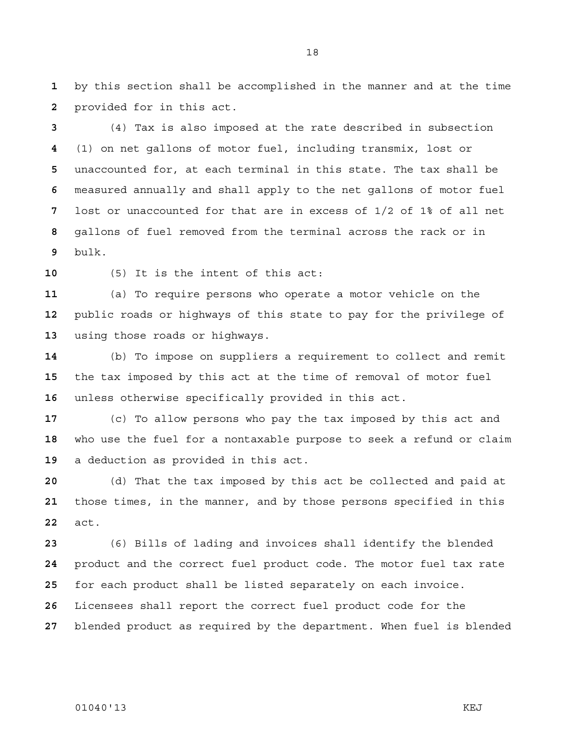by this section shall be accomplished in the manner and at the time provided for in this act.

(4) Tax is also imposed at the rate described in subsection (1) on net gallons of motor fuel, including transmix, lost or unaccounted for, at each terminal in this state. The tax shall be measured annually and shall apply to the net gallons of motor fuel lost or unaccounted for that are in excess of 1/2 of 1% of all net gallons of fuel removed from the terminal across the rack or in bulk.

(5) It is the intent of this act:

(a) To require persons who operate a motor vehicle on the public roads or highways of this state to pay for the privilege of using those roads or highways.

(b) To impose on suppliers a requirement to collect and remit the tax imposed by this act at the time of removal of motor fuel unless otherwise specifically provided in this act.

(c) To allow persons who pay the tax imposed by this act and who use the fuel for a nontaxable purpose to seek a refund or claim a deduction as provided in this act.

(d) That the tax imposed by this act be collected and paid at those times, in the manner, and by those persons specified in this act.

(6) Bills of lading and invoices shall identify the blended product and the correct fuel product code. The motor fuel tax rate for each product shall be listed separately on each invoice. Licensees shall report the correct fuel product code for the

blended product as required by the department. When fuel is blended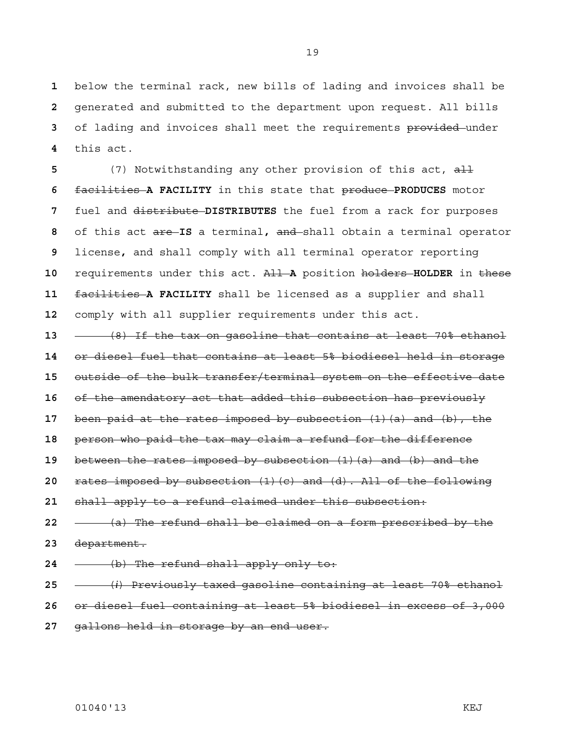below the terminal rack, new bills of lading and invoices shall be generated and submitted to the department upon request. All bills of lading and invoices shall meet the requirements provided under this act.

(7) Notwithstanding any other provision of this act, all facilities **A FACILITY** in this state that produce **PRODUCES** motor fuel and distribute **DISTRIBUTES** the fuel from a rack for purposes of this act are **IS** a terminal**,** and shall obtain a terminal operator license**,** and shall comply with all terminal operator reporting requirements under this act. All **A** position holders **HOLDER** in these facilities **A FACILITY** shall be licensed as a supplier and shall comply with all supplier requirements under this act.

(8) If the tax on gasoline that contains at least 70% ethanol or diesel fuel that contains at least 5% biodiesel held in storage outside of the bulk transfer/terminal system on the effective date of the amendatory act that added this subsection has previously been paid at the rates imposed by subsection (1)(a) and (b), the person who paid the tax may claim a refund for the difference between the rates imposed by subsection (1)(a) and (b) and the rates imposed by subsection (1)(c) and (d). All of the following shall apply to a refund claimed under this subsection: (a) The refund shall be claimed on a form prescribed by the department. (b) The refund shall apply only to: (*i*) Previously taxed gasoline containing at least 70% ethanol

or diesel fuel containing at least 5% biodiesel in excess of 3,000

gallons held in storage by an end user.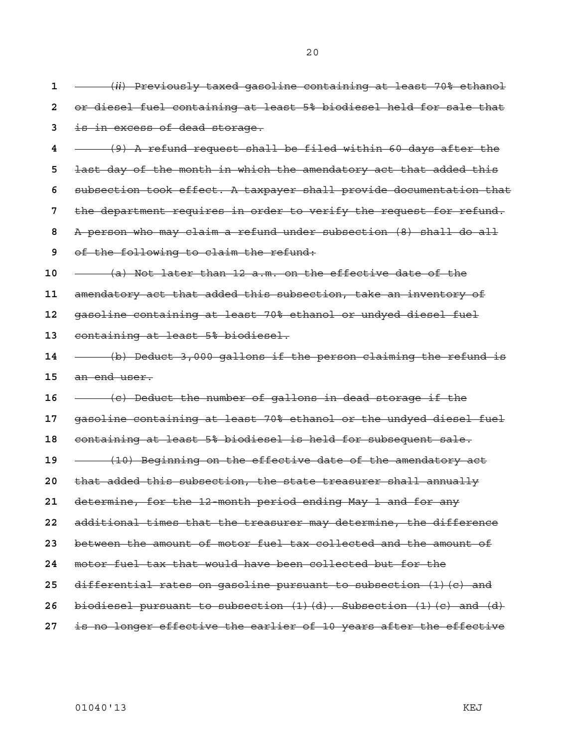(*ii*) Previously taxed gasoline containing at least 70% ethanol or diesel fuel containing at least 5% biodiesel held for sale that is in excess of dead storage. (9) A refund request shall be filed within 60 days after the last day of the month in which the amendatory act that added this subsection took effect. A taxpayer shall provide documentation that the department requires in order to verify the request for refund. A person who may claim a refund under subsection (8) shall do all of the following to claim the refund: (a) Not later than 12 a.m. on the effective date of the amendatory act that added this subsection, take an inventory of gasoline containing at least 70% ethanol or undyed diesel fuel containing at least 5% biodiesel. (b) Deduct 3,000 gallons if the person claiming the refund is an end user. (c) Deduct the number of gallons in dead storage if the gasoline containing at least 70% ethanol or the undyed diesel fuel containing at least 5% biodiesel is held for subsequent sale. (10) Beginning on the effective date of the amendatory act that added this subsection, the state treasurer shall annually determine, for the 12-month period ending May 1 and for any additional times that the treasurer may determine, the difference between the amount of motor fuel tax collected and the amount of motor fuel tax that would have been collected but for the differential rates on gasoline pursuant to subsection (1)(c) and biodiesel pursuant to subsection (1)(d). Subsection (1)(c) and (d) is no longer effective the earlier of 10 years after the effective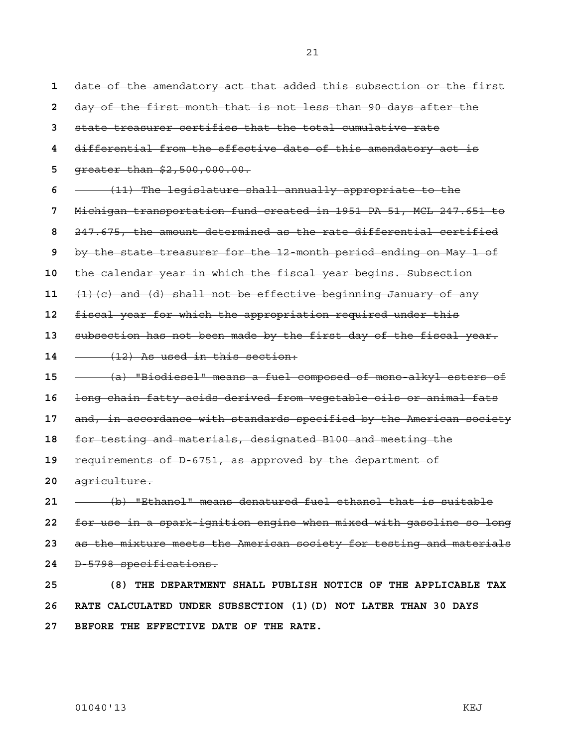date of the amendatory act that added this subsection or the first day of the first month that is not less than 90 days after the state treasurer certifies that the total cumulative rate differential from the effective date of this amendatory act is greater than \$2,500,000.00. (11) The legislature shall annually appropriate to the Michigan transportation fund created in 1951 PA 51, MCL 247.651 to 247.675, the amount determined as the rate differential certified by the state treasurer for the 12-month period ending on May 1 of the calendar year in which the fiscal year begins. Subsection (1)(c) and (d) shall not be effective beginning January of any fiscal year for which the appropriation required under this subsection has not been made by the first day of the fiscal year. (12) As used in this section: (a) "Biodiesel" means a fuel composed of mono-alkyl esters of long chain fatty acids derived from vegetable oils or animal fats and, in accordance with standards specified by the American society for testing and materials, designated B100 and meeting the requirements of D-6751, as approved by the department of agriculture. (b) "Ethanol" means denatured fuel ethanol that is suitable for use in a spark-ignition engine when mixed with gasoline so long as the mixture meets the American society for testing and materials D-5798 specifications. **25 (8) THE DEPARTMENT SHALL PUBLISH NOTICE OF THE APPLICABLE TAX 26 RATE CALCULATED UNDER SUBSECTION (1)(D) NOT LATER THAN 30 DAYS 27 BEFORE THE EFFECTIVE DATE OF THE RATE.**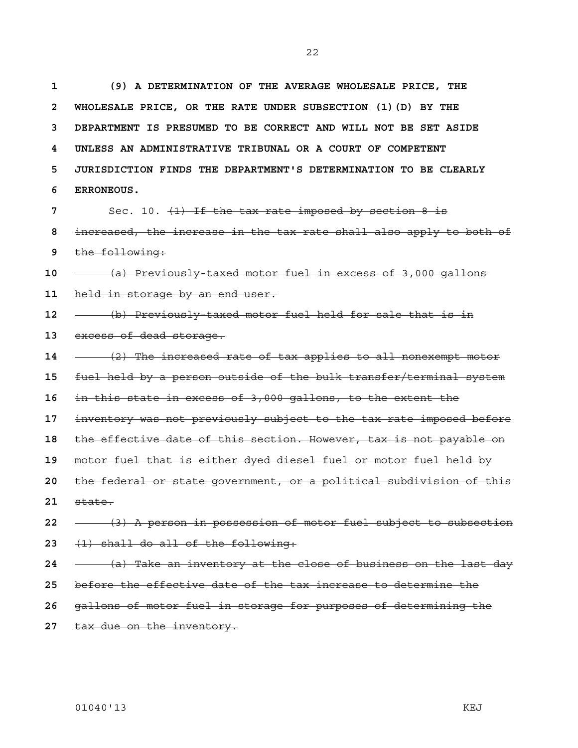**1 (9) A DETERMINATION OF THE AVERAGE WHOLESALE PRICE, THE 2 WHOLESALE PRICE, OR THE RATE UNDER SUBSECTION (1)(D) BY THE 3 DEPARTMENT IS PRESUMED TO BE CORRECT AND WILL NOT BE SET ASIDE 4 UNLESS AN ADMINISTRATIVE TRIBUNAL OR A COURT OF COMPETENT 5 JURISDICTION FINDS THE DEPARTMENT'S DETERMINATION TO BE CLEARLY 6 ERRONEOUS.**

Sec. 10. (1) If the tax rate imposed by section 8 is increased, the increase in the tax rate shall also apply to both of the following:

(a) Previously-taxed motor fuel in excess of 3,000 gallons held in storage by an end user.

(b) Previously-taxed motor fuel held for sale that is in

- excess of dead storage.
- (2) The increased rate of tax applies to all nonexempt motor

fuel held by a person outside of the bulk transfer/terminal system

in this state in excess of 3,000 gallons, to the extent the

inventory was not previously subject to the tax rate imposed before

the effective date of this section. However, tax is not payable on

motor fuel that is either dyed diesel fuel or motor fuel held by

the federal or state government, or a political subdivision of this state.

- (3) A person in possession of motor fuel subject to subsection (1) shall do all of the following:
- (a) Take an inventory at the close of business on the last day
- before the effective date of the tax increase to determine the
- gallons of motor fuel in storage for purposes of determining the
- tax due on the inventory.

01040'13 KEJ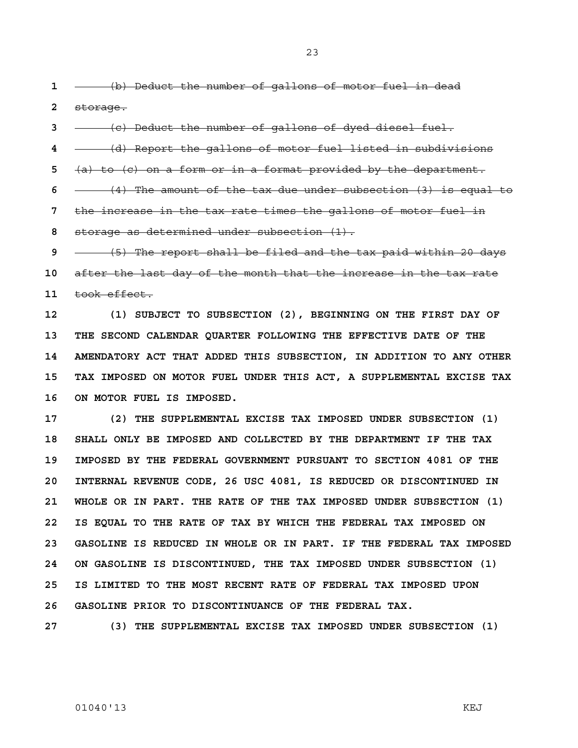23

**1** (b) Deduct the number of gallons of motor fuel in dead **2** storage.

**3** (c) Deduct the number of gallons of dyed diesel fuel.

**4** (d) Report the gallons of motor fuel listed in subdivisions

**5** (a) to (c) on a form or in a format provided by the department.

**6** (4) The amount of the tax due under subsection (3) is equal to

**7** the increase in the tax rate times the gallons of motor fuel in

**8** storage as determined under subsection (1).

**9** (5) The report shall be filed and the tax paid within 20 days **10** after the last day of the month that the increase in the tax rate **11** took effect.

**12 (1) SUBJECT TO SUBSECTION (2), BEGINNING ON THE FIRST DAY OF 13 THE SECOND CALENDAR QUARTER FOLLOWING THE EFFECTIVE DATE OF THE 14 AMENDATORY ACT THAT ADDED THIS SUBSECTION, IN ADDITION TO ANY OTHER 15 TAX IMPOSED ON MOTOR FUEL UNDER THIS ACT, A SUPPLEMENTAL EXCISE TAX 16 ON MOTOR FUEL IS IMPOSED.** 

**17 (2) THE SUPPLEMENTAL EXCISE TAX IMPOSED UNDER SUBSECTION (1) 18 SHALL ONLY BE IMPOSED AND COLLECTED BY THE DEPARTMENT IF THE TAX 19 IMPOSED BY THE FEDERAL GOVERNMENT PURSUANT TO SECTION 4081 OF THE 20 INTERNAL REVENUE CODE, 26 USC 4081, IS REDUCED OR DISCONTINUED IN 21 WHOLE OR IN PART. THE RATE OF THE TAX IMPOSED UNDER SUBSECTION (1) 22 IS EQUAL TO THE RATE OF TAX BY WHICH THE FEDERAL TAX IMPOSED ON 23 GASOLINE IS REDUCED IN WHOLE OR IN PART. IF THE FEDERAL TAX IMPOSED 24 ON GASOLINE IS DISCONTINUED, THE TAX IMPOSED UNDER SUBSECTION (1) 25 IS LIMITED TO THE MOST RECENT RATE OF FEDERAL TAX IMPOSED UPON 26 GASOLINE PRIOR TO DISCONTINUANCE OF THE FEDERAL TAX.** 

**27 (3) THE SUPPLEMENTAL EXCISE TAX IMPOSED UNDER SUBSECTION (1)**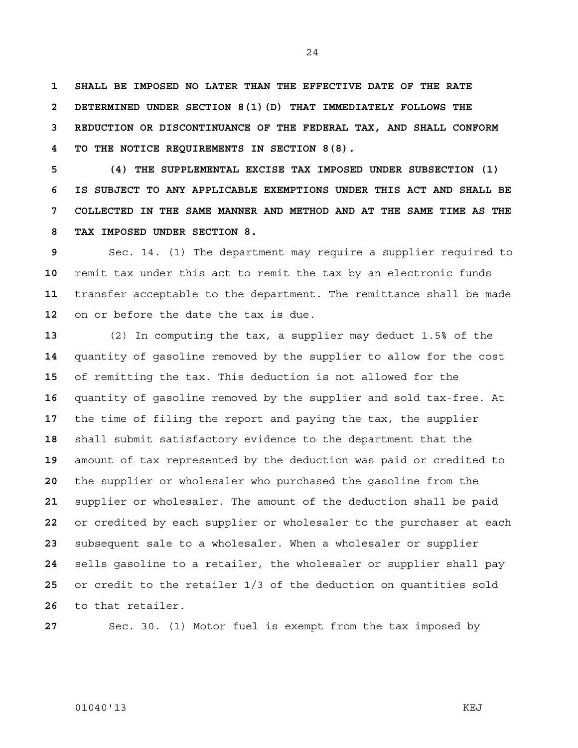**1 SHALL BE IMPOSED NO LATER THAN THE EFFECTIVE DATE OF THE RATE 2 DETERMINED UNDER SECTION 8(1)(D) THAT IMMEDIATELY FOLLOWS THE 3 REDUCTION OR DISCONTINUANCE OF THE FEDERAL TAX, AND SHALL CONFORM 4 TO THE NOTICE REQUIREMENTS IN SECTION 8(8).** 

**5 (4) THE SUPPLEMENTAL EXCISE TAX IMPOSED UNDER SUBSECTION (1) 6 IS SUBJECT TO ANY APPLICABLE EXEMPTIONS UNDER THIS ACT AND SHALL BE 7 COLLECTED IN THE SAME MANNER AND METHOD AND AT THE SAME TIME AS THE 8 TAX IMPOSED UNDER SECTION 8.**

Sec. 14. (1) The department may require a supplier required to remit tax under this act to remit the tax by an electronic funds transfer acceptable to the department. The remittance shall be made on or before the date the tax is due.

(2) In computing the tax, a supplier may deduct 1.5% of the quantity of gasoline removed by the supplier to allow for the cost of remitting the tax. This deduction is not allowed for the quantity of gasoline removed by the supplier and sold tax-free. At the time of filing the report and paying the tax, the supplier shall submit satisfactory evidence to the department that the amount of tax represented by the deduction was paid or credited to the supplier or wholesaler who purchased the gasoline from the supplier or wholesaler. The amount of the deduction shall be paid or credited by each supplier or wholesaler to the purchaser at each subsequent sale to a wholesaler. When a wholesaler or supplier sells gasoline to a retailer, the wholesaler or supplier shall pay or credit to the retailer 1/3 of the deduction on quantities sold to that retailer.

Sec. 30. (1) Motor fuel is exempt from the tax imposed by

### 01040'13 KEJ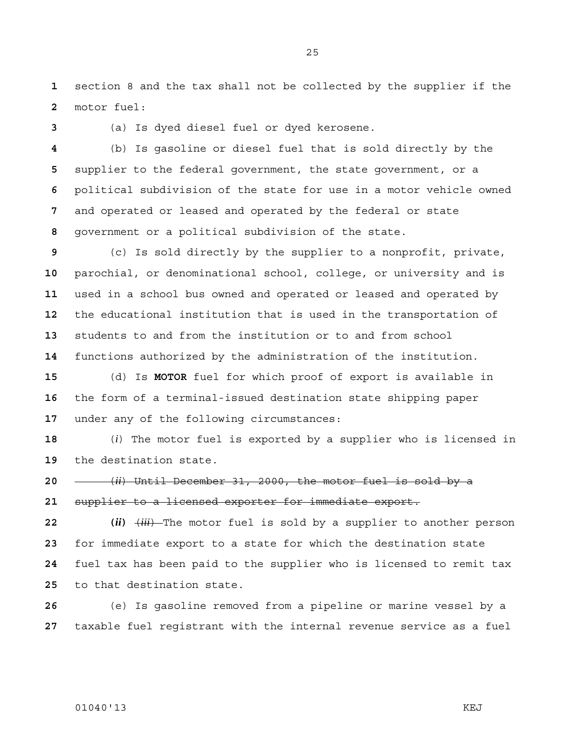section 8 and the tax shall not be collected by the supplier if the motor fuel:

(a) Is dyed diesel fuel or dyed kerosene.

(b) Is gasoline or diesel fuel that is sold directly by the supplier to the federal government, the state government, or a political subdivision of the state for use in a motor vehicle owned and operated or leased and operated by the federal or state government or a political subdivision of the state.

(c) Is sold directly by the supplier to a nonprofit, private, parochial, or denominational school, college, or university and is used in a school bus owned and operated or leased and operated by the educational institution that is used in the transportation of students to and from the institution or to and from school functions authorized by the administration of the institution.

(d) Is **MOTOR** fuel for which proof of export is available in the form of a terminal-issued destination state shipping paper under any of the following circumstances:

(*i*) The motor fuel is exported by a supplier who is licensed in the destination state.

(*ii*) Until December 31, 2000, the motor fuel is sold by a supplier to a licensed exporter for immediate export.

**22 (***ii***)** (*iii*) The motor fuel is sold by a supplier to another person for immediate export to a state for which the destination state fuel tax has been paid to the supplier who is licensed to remit tax to that destination state.

(e) Is gasoline removed from a pipeline or marine vessel by a taxable fuel registrant with the internal revenue service as a fuel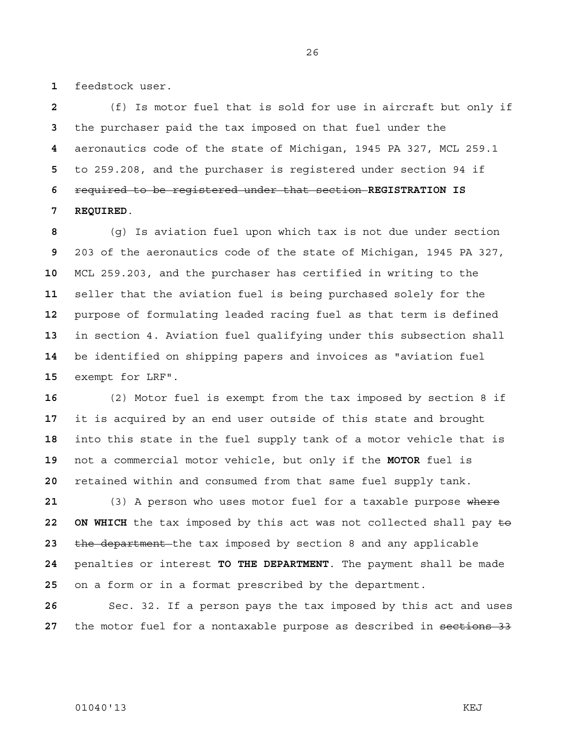feedstock user.

(f) Is motor fuel that is sold for use in aircraft but only if the purchaser paid the tax imposed on that fuel under the aeronautics code of the state of Michigan, 1945 PA 327, MCL 259.1 to 259.208, and the purchaser is registered under section 94 if required to be registered under that section **REGISTRATION IS 7 REQUIRED**.

(g) Is aviation fuel upon which tax is not due under section 203 of the aeronautics code of the state of Michigan, 1945 PA 327, MCL 259.203, and the purchaser has certified in writing to the seller that the aviation fuel is being purchased solely for the purpose of formulating leaded racing fuel as that term is defined in section 4. Aviation fuel qualifying under this subsection shall be identified on shipping papers and invoices as "aviation fuel exempt for LRF".

(2) Motor fuel is exempt from the tax imposed by section 8 if it is acquired by an end user outside of this state and brought into this state in the fuel supply tank of a motor vehicle that is not a commercial motor vehicle, but only if the **MOTOR** fuel is retained within and consumed from that same fuel supply tank.

(3) A person who uses motor fuel for a taxable purpose where 22 ON WHICH the tax imposed by this act was not collected shall pay  $\pm \Theta$ the department the tax imposed by section 8 and any applicable penalties or interest **TO THE DEPARTMENT**. The payment shall be made on a form or in a format prescribed by the department.

Sec. 32. If a person pays the tax imposed by this act and uses 27 the motor fuel for a nontaxable purpose as described in sections 33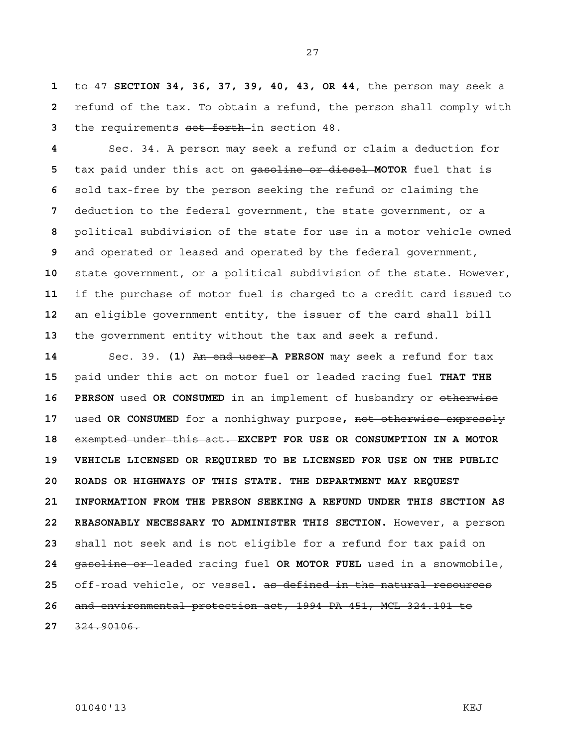to 47 **SECTION 34, 36, 37, 39, 40, 43, OR 44**, the person may seek a refund of the tax. To obtain a refund, the person shall comply with the requirements set forth in section 48.

Sec. 34. A person may seek a refund or claim a deduction for tax paid under this act on gasoline or diesel **MOTOR** fuel that is sold tax-free by the person seeking the refund or claiming the deduction to the federal government, the state government, or a political subdivision of the state for use in a motor vehicle owned and operated or leased and operated by the federal government, state government, or a political subdivision of the state. However, if the purchase of motor fuel is charged to a credit card issued to an eligible government entity, the issuer of the card shall bill the government entity without the tax and seek a refund.

Sec. 39. **(1)** An end user **A PERSON** may seek a refund for tax paid under this act on motor fuel or leaded racing fuel **THAT THE 16 PERSON** used **OR CONSUMED** in an implement of husbandry or otherwise used **OR CONSUMED** for a nonhighway purpose**,** not otherwise expressly exempted under this act. **EXCEPT FOR USE OR CONSUMPTION IN A MOTOR 19 VEHICLE LICENSED OR REQUIRED TO BE LICENSED FOR USE ON THE PUBLIC 20 ROADS OR HIGHWAYS OF THIS STATE. THE DEPARTMENT MAY REQUEST 21 INFORMATION FROM THE PERSON SEEKING A REFUND UNDER THIS SECTION AS 22 REASONABLY NECESSARY TO ADMINISTER THIS SECTION.** However, a person shall not seek and is not eligible for a refund for tax paid on gasoline or leaded racing fuel **OR MOTOR FUEL** used in a snowmobile, off-road vehicle, or vessel**.** as defined in the natural resources and environmental protection act, 1994 PA 451, MCL 324.101 to 324.90106.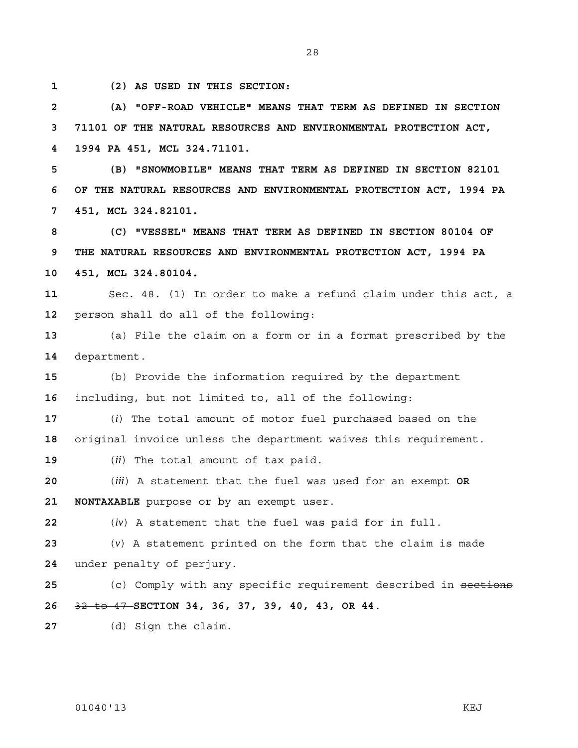**1 (2) AS USED IN THIS SECTION:** 

**2 (A) "OFF-ROAD VEHICLE" MEANS THAT TERM AS DEFINED IN SECTION 3 71101 OF THE NATURAL RESOURCES AND ENVIRONMENTAL PROTECTION ACT, 4 1994 PA 451, MCL 324.71101.** 

28

**5 (B) "SNOWMOBILE" MEANS THAT TERM AS DEFINED IN SECTION 82101 6 OF THE NATURAL RESOURCES AND ENVIRONMENTAL PROTECTION ACT, 1994 PA 7 451, MCL 324.82101.** 

**8 (C) "VESSEL" MEANS THAT TERM AS DEFINED IN SECTION 80104 OF 9 THE NATURAL RESOURCES AND ENVIRONMENTAL PROTECTION ACT, 1994 PA 10 451, MCL 324.80104.**

**11** Sec. 48. (1) In order to make a refund claim under this act, a **12** person shall do all of the following:

**13** (a) File the claim on a form or in a format prescribed by the **14** department.

**15** (b) Provide the information required by the department **16** including, but not limited to, all of the following:

**17** (*i*) The total amount of motor fuel purchased based on the **18** original invoice unless the department waives this requirement.

**19** (*ii*) The total amount of tax paid.

**20** (*iii*) A statement that the fuel was used for an exempt **OR 21 NONTAXABLE** purpose or by an exempt user.

**22** (*iv*) A statement that the fuel was paid for in full.

**23** (*v*) A statement printed on the form that the claim is made **24** under penalty of perjury.

**25** (c) Comply with any specific requirement described in sections **26** 32 to 47 **SECTION 34, 36, 37, 39, 40, 43, OR 44**.

**27** (d) Sign the claim.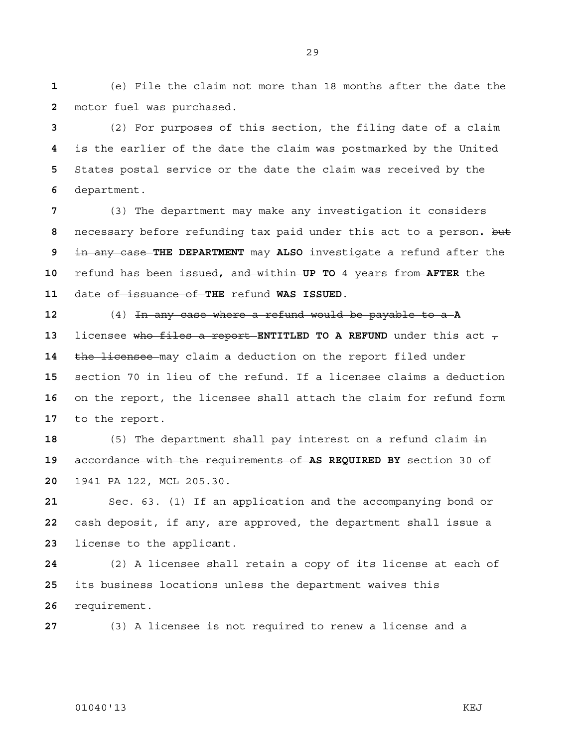(e) File the claim not more than 18 months after the date the motor fuel was purchased.

(2) For purposes of this section, the filing date of a claim is the earlier of the date the claim was postmarked by the United States postal service or the date the claim was received by the department.

(3) The department may make any investigation it considers necessary before refunding tax paid under this act to a person**.** but in any case **THE DEPARTMENT** may **ALSO** investigate a refund after the refund has been issued**,** and within **UP TO** 4 years from **AFTER** the date of issuance of **THE** refund **WAS ISSUED**.

(4) In any case where a refund would be payable to a **A**  licensee who files a report **ENTITLED TO A REFUND** under this act  $\tau$ the licensee may claim a deduction on the report filed under section 70 in lieu of the refund. If a licensee claims a deduction on the report, the licensee shall attach the claim for refund form to the report.

18 (5) The department shall pay interest on a refund claim in accordance with the requirements of **AS REQUIRED BY** section 30 of 1941 PA 122, MCL 205.30.

Sec. 63. (1) If an application and the accompanying bond or cash deposit, if any, are approved, the department shall issue a license to the applicant.

(2) A licensee shall retain a copy of its license at each of its business locations unless the department waives this requirement.

(3) A licensee is not required to renew a license and a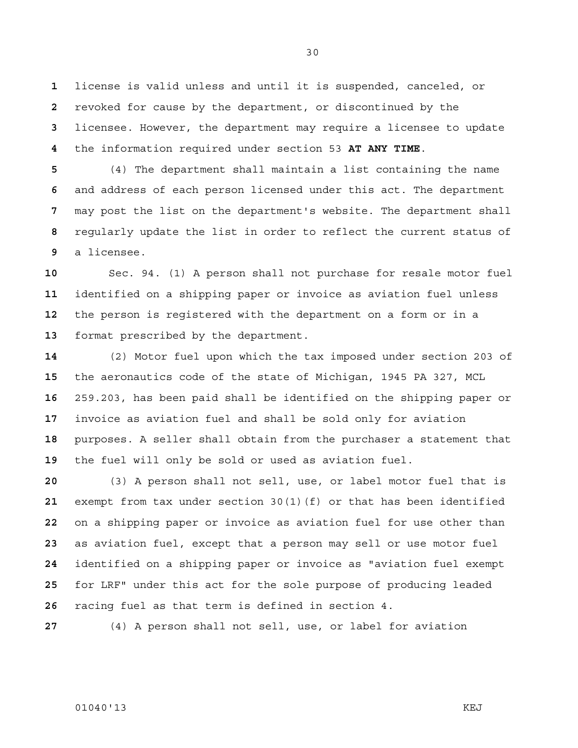license is valid unless and until it is suspended, canceled, or revoked for cause by the department, or discontinued by the licensee. However, the department may require a licensee to update the information required under section 53 **AT ANY TIME**.

(4) The department shall maintain a list containing the name and address of each person licensed under this act. The department may post the list on the department's website. The department shall regularly update the list in order to reflect the current status of a licensee.

Sec. 94. (1) A person shall not purchase for resale motor fuel identified on a shipping paper or invoice as aviation fuel unless the person is registered with the department on a form or in a format prescribed by the department.

(2) Motor fuel upon which the tax imposed under section 203 of the aeronautics code of the state of Michigan, 1945 PA 327, MCL 259.203, has been paid shall be identified on the shipping paper or invoice as aviation fuel and shall be sold only for aviation purposes. A seller shall obtain from the purchaser a statement that the fuel will only be sold or used as aviation fuel.

(3) A person shall not sell, use, or label motor fuel that is exempt from tax under section 30(1)(f) or that has been identified on a shipping paper or invoice as aviation fuel for use other than as aviation fuel, except that a person may sell or use motor fuel identified on a shipping paper or invoice as "aviation fuel exempt for LRF" under this act for the sole purpose of producing leaded racing fuel as that term is defined in section 4.

(4) A person shall not sell, use, or label for aviation

### 01040'13 KEJ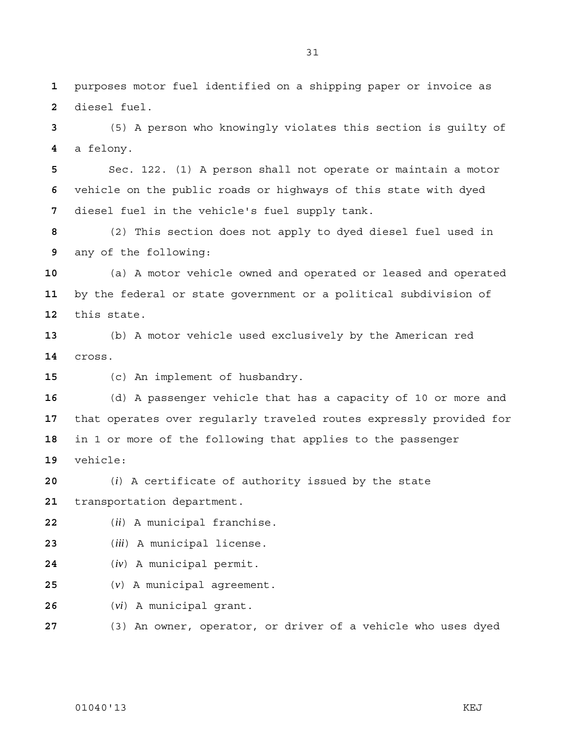purposes motor fuel identified on a shipping paper or invoice as diesel fuel.

(5) A person who knowingly violates this section is guilty of a felony.

Sec. 122. (1) A person shall not operate or maintain a motor vehicle on the public roads or highways of this state with dyed diesel fuel in the vehicle's fuel supply tank.

(2) This section does not apply to dyed diesel fuel used in any of the following:

(a) A motor vehicle owned and operated or leased and operated by the federal or state government or a political subdivision of this state.

(b) A motor vehicle used exclusively by the American red cross.

(c) An implement of husbandry.

(d) A passenger vehicle that has a capacity of 10 or more and that operates over regularly traveled routes expressly provided for in 1 or more of the following that applies to the passenger vehicle:

(*i*) A certificate of authority issued by the state transportation department.

(*ii*) A municipal franchise.

(*iii*) A municipal license.

- (*iv*) A municipal permit.
- (*v*) A municipal agreement.

(*vi*) A municipal grant.

(3) An owner, operator, or driver of a vehicle who uses dyed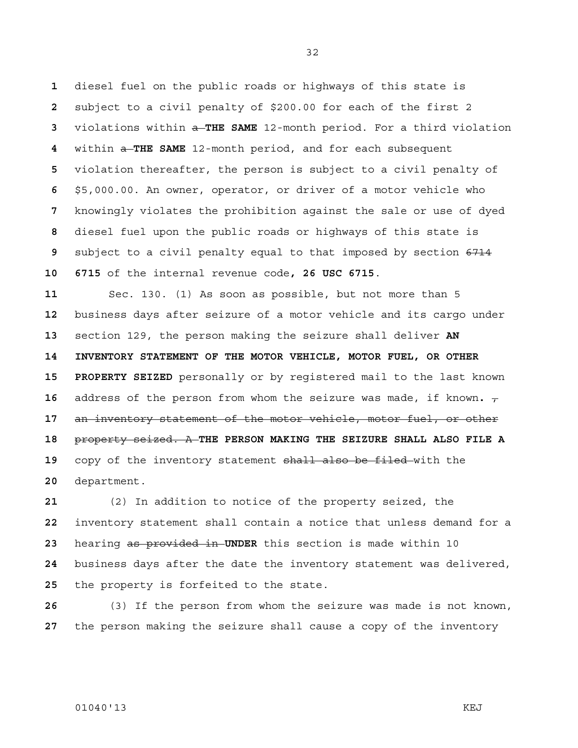diesel fuel on the public roads or highways of this state is subject to a civil penalty of \$200.00 for each of the first 2 violations within a **THE SAME** 12-month period. For a third violation within a **THE SAME** 12-month period, and for each subsequent violation thereafter, the person is subject to a civil penalty of \$5,000.00. An owner, operator, or driver of a motor vehicle who knowingly violates the prohibition against the sale or use of dyed diesel fuel upon the public roads or highways of this state is subject to a civil penalty equal to that imposed by section 6714 **10 6715** of the internal revenue code**, 26 USC 6715**.

Sec. 130. (1) As soon as possible, but not more than 5 business days after seizure of a motor vehicle and its cargo under section 129, the person making the seizure shall deliver **AN 14 INVENTORY STATEMENT OF THE MOTOR VEHICLE, MOTOR FUEL, OR OTHER 15 PROPERTY SEIZED** personally or by registered mail to the last known address of the person from whom the seizure was made, if known.  $\tau$ an inventory statement of the motor vehicle, motor fuel, or other property seized. A **THE PERSON MAKING THE SEIZURE SHALL ALSO FILE A**  copy of the inventory statement shall also be filed with the department.

(2) In addition to notice of the property seized, the inventory statement shall contain a notice that unless demand for a hearing as provided in **UNDER** this section is made within 10 business days after the date the inventory statement was delivered, the property is forfeited to the state.

(3) If the person from whom the seizure was made is not known, the person making the seizure shall cause a copy of the inventory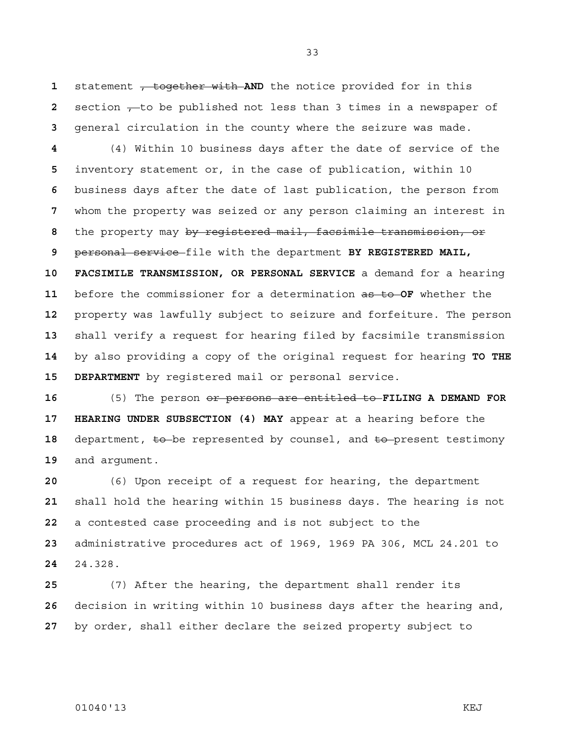statement , together with **AND** the notice provided for in this section , to be published not less than 3 times in a newspaper of general circulation in the county where the seizure was made.

(4) Within 10 business days after the date of service of the inventory statement or, in the case of publication, within 10 business days after the date of last publication, the person from whom the property was seized or any person claiming an interest in the property may by registered mail, facsimile transmission, or personal service file with the department **BY REGISTERED MAIL, 10 FACSIMILE TRANSMISSION, OR PERSONAL SERVICE** a demand for a hearing before the commissioner for a determination as to **OF** whether the property was lawfully subject to seizure and forfeiture. The person shall verify a request for hearing filed by facsimile transmission by also providing a copy of the original request for hearing **TO THE 15 DEPARTMENT** by registered mail or personal service.

(5) The person or persons are entitled to **FILING A DEMAND FOR 17 HEARING UNDER SUBSECTION (4) MAY** appear at a hearing before the 18 department,  $\epsilon$  be represented by counsel, and  $\epsilon$  present testimony and argument.

(6) Upon receipt of a request for hearing, the department shall hold the hearing within 15 business days. The hearing is not a contested case proceeding and is not subject to the administrative procedures act of 1969, 1969 PA 306, MCL 24.201 to 24.328.

(7) After the hearing, the department shall render its decision in writing within 10 business days after the hearing and, by order, shall either declare the seized property subject to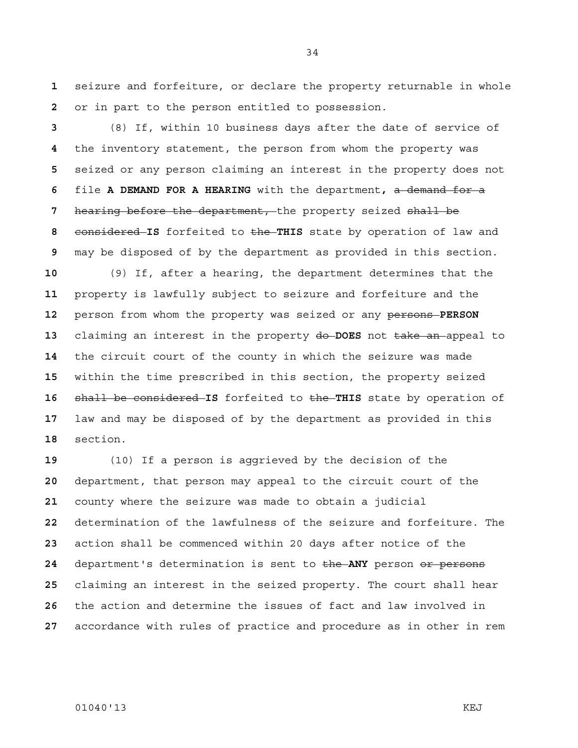seizure and forfeiture, or declare the property returnable in whole or in part to the person entitled to possession.

(8) If, within 10 business days after the date of service of the inventory statement, the person from whom the property was seized or any person claiming an interest in the property does not file **A DEMAND FOR A HEARING** with the department**,** a demand for a hearing before the department, the property seized shall be considered **IS** forfeited to the **THIS** state by operation of law and may be disposed of by the department as provided in this section.

(9) If, after a hearing, the department determines that the property is lawfully subject to seizure and forfeiture and the person from whom the property was seized or any persons **PERSON**  claiming an interest in the property do **DOES** not take an appeal to the circuit court of the county in which the seizure was made within the time prescribed in this section, the property seized shall be considered **IS** forfeited to the **THIS** state by operation of law and may be disposed of by the department as provided in this section.

(10) If a person is aggrieved by the decision of the department, that person may appeal to the circuit court of the county where the seizure was made to obtain a judicial determination of the lawfulness of the seizure and forfeiture. The action shall be commenced within 20 days after notice of the department's determination is sent to the ANY person or persons claiming an interest in the seized property. The court shall hear the action and determine the issues of fact and law involved in accordance with rules of practice and procedure as in other in rem

### 01040'13 KEJ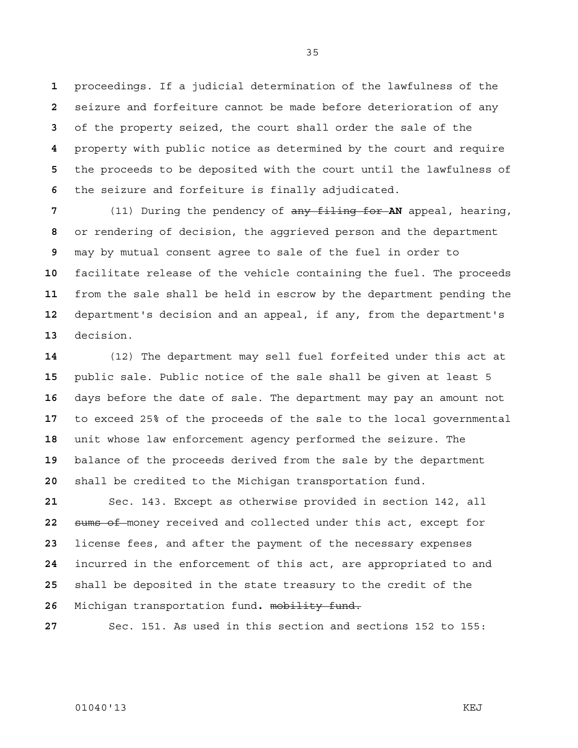proceedings. If a judicial determination of the lawfulness of the seizure and forfeiture cannot be made before deterioration of any of the property seized, the court shall order the sale of the property with public notice as determined by the court and require the proceeds to be deposited with the court until the lawfulness of the seizure and forfeiture is finally adjudicated.

(11) During the pendency of any filing for **AN** appeal, hearing, or rendering of decision, the aggrieved person and the department may by mutual consent agree to sale of the fuel in order to facilitate release of the vehicle containing the fuel. The proceeds from the sale shall be held in escrow by the department pending the department's decision and an appeal, if any, from the department's decision.

(12) The department may sell fuel forfeited under this act at public sale. Public notice of the sale shall be given at least 5 days before the date of sale. The department may pay an amount not to exceed 25% of the proceeds of the sale to the local governmental unit whose law enforcement agency performed the seizure. The balance of the proceeds derived from the sale by the department shall be credited to the Michigan transportation fund.

Sec. 143. Except as otherwise provided in section 142, all sums of money received and collected under this act, except for license fees, and after the payment of the necessary expenses incurred in the enforcement of this act, are appropriated to and shall be deposited in the state treasury to the credit of the Michigan transportation fund**.** mobility fund.

Sec. 151. As used in this section and sections 152 to 155:

01040'13 KEJ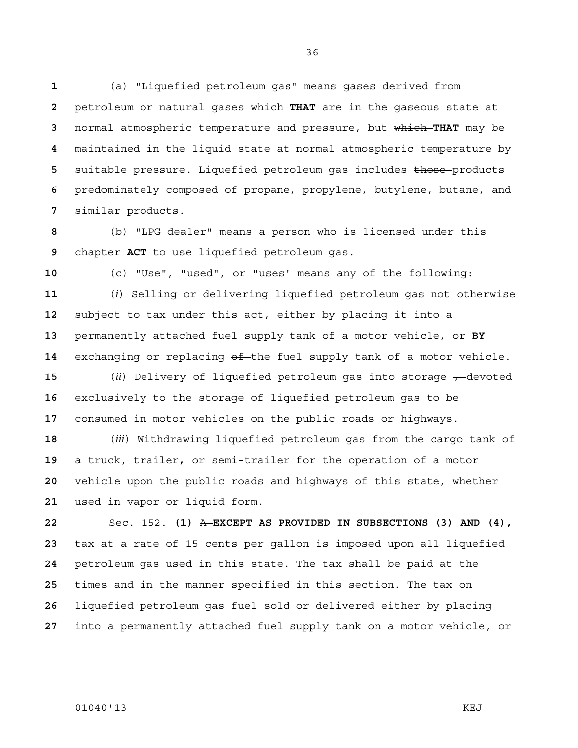(a) "Liquefied petroleum gas" means gases derived from petroleum or natural gases which **THAT** are in the gaseous state at normal atmospheric temperature and pressure, but which **THAT** may be maintained in the liquid state at normal atmospheric temperature by 5 suitable pressure. Liquefied petroleum gas includes those products predominately composed of propane, propylene, butylene, butane, and similar products.

(b) "LPG dealer" means a person who is licensed under this chapter **ACT** to use liquefied petroleum gas.

(c) "Use", "used", or "uses" means any of the following:

(*i*) Selling or delivering liquefied petroleum gas not otherwise subject to tax under this act, either by placing it into a permanently attached fuel supply tank of a motor vehicle, or **BY**  14 exchanging or replacing  $\theta f$ -the fuel supply tank of a motor vehicle.

**15** (*ii*) Delivery of liquefied petroleum gas into storage  $\tau$ -devoted exclusively to the storage of liquefied petroleum gas to be consumed in motor vehicles on the public roads or highways.

(*iii*) Withdrawing liquefied petroleum gas from the cargo tank of a truck, trailer**,** or semi-trailer for the operation of a motor vehicle upon the public roads and highways of this state, whether used in vapor or liquid form.

Sec. 152. **(1)** A **EXCEPT AS PROVIDED IN SUBSECTIONS (3) AND (4),**  tax at a rate of 15 cents per gallon is imposed upon all liquefied petroleum gas used in this state. The tax shall be paid at the times and in the manner specified in this section. The tax on liquefied petroleum gas fuel sold or delivered either by placing into a permanently attached fuel supply tank on a motor vehicle, or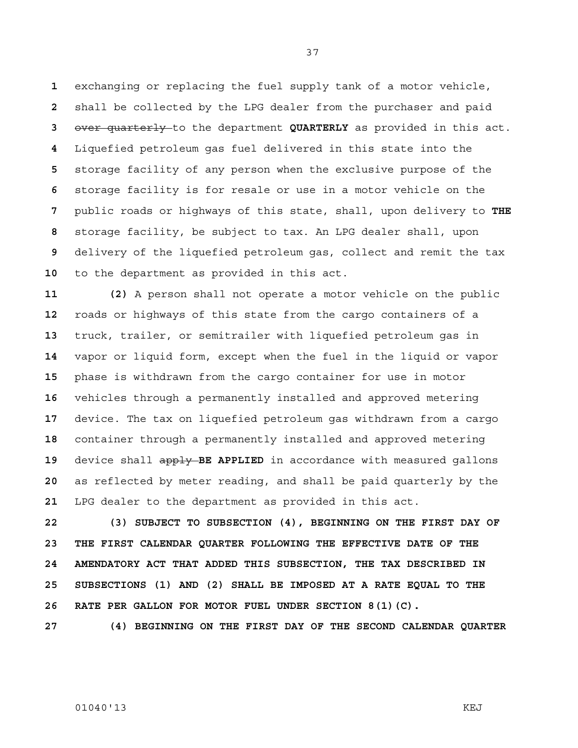exchanging or replacing the fuel supply tank of a motor vehicle, shall be collected by the LPG dealer from the purchaser and paid over quarterly to the department **QUARTERLY** as provided in this act. Liquefied petroleum gas fuel delivered in this state into the storage facility of any person when the exclusive purpose of the storage facility is for resale or use in a motor vehicle on the public roads or highways of this state, shall, upon delivery to **THE**  storage facility, be subject to tax. An LPG dealer shall, upon delivery of the liquefied petroleum gas, collect and remit the tax to the department as provided in this act.

**11 (2)** A person shall not operate a motor vehicle on the public roads or highways of this state from the cargo containers of a truck, trailer, or semitrailer with liquefied petroleum gas in vapor or liquid form, except when the fuel in the liquid or vapor phase is withdrawn from the cargo container for use in motor vehicles through a permanently installed and approved metering device. The tax on liquefied petroleum gas withdrawn from a cargo container through a permanently installed and approved metering device shall apply **BE APPLIED** in accordance with measured gallons as reflected by meter reading, and shall be paid quarterly by the LPG dealer to the department as provided in this act.

**22 (3) SUBJECT TO SUBSECTION (4), BEGINNING ON THE FIRST DAY OF 23 THE FIRST CALENDAR QUARTER FOLLOWING THE EFFECTIVE DATE OF THE 24 AMENDATORY ACT THAT ADDED THIS SUBSECTION, THE TAX DESCRIBED IN 25 SUBSECTIONS (1) AND (2) SHALL BE IMPOSED AT A RATE EQUAL TO THE 26 RATE PER GALLON FOR MOTOR FUEL UNDER SECTION 8(1)(C).** 

**27 (4) BEGINNING ON THE FIRST DAY OF THE SECOND CALENDAR QUARTER**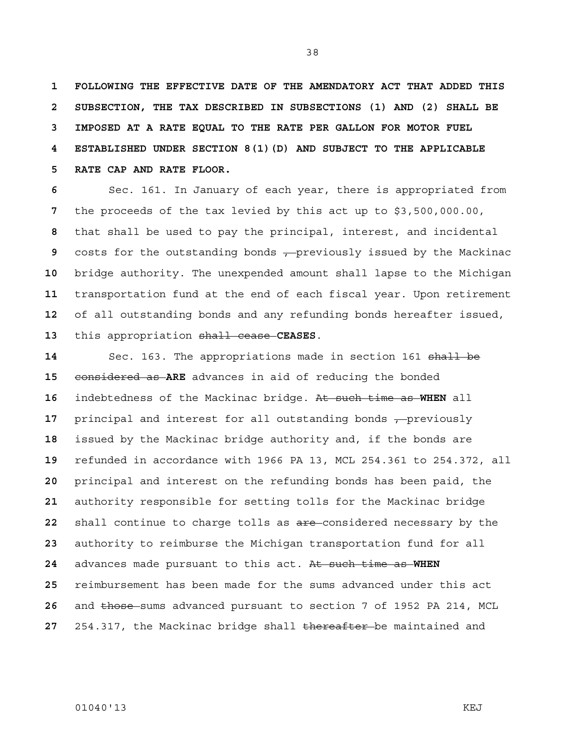**1 FOLLOWING THE EFFECTIVE DATE OF THE AMENDATORY ACT THAT ADDED THIS 2 SUBSECTION, THE TAX DESCRIBED IN SUBSECTIONS (1) AND (2) SHALL BE 3 IMPOSED AT A RATE EQUAL TO THE RATE PER GALLON FOR MOTOR FUEL 4 ESTABLISHED UNDER SECTION 8(1)(D) AND SUBJECT TO THE APPLICABLE 5 RATE CAP AND RATE FLOOR.**

Sec. 161. In January of each year, there is appropriated from the proceeds of the tax levied by this act up to \$3,500,000.00, that shall be used to pay the principal, interest, and incidental costs for the outstanding bonds  $\frac{1}{2}$  previously issued by the Mackinac bridge authority. The unexpended amount shall lapse to the Michigan transportation fund at the end of each fiscal year. Upon retirement of all outstanding bonds and any refunding bonds hereafter issued, this appropriation shall cease **CEASES**.

**Sec. 163. The appropriations made in section 161 shall be** considered as **ARE** advances in aid of reducing the bonded indebtedness of the Mackinac bridge. At such time as **WHEN** all **principal and interest for all outstanding bonds , previously** issued by the Mackinac bridge authority and, if the bonds are refunded in accordance with 1966 PA 13, MCL 254.361 to 254.372, all principal and interest on the refunding bonds has been paid, the authority responsible for setting tolls for the Mackinac bridge shall continue to charge tolls as are considered necessary by the authority to reimburse the Michigan transportation fund for all advances made pursuant to this act. At such time as **WHEN**  reimbursement has been made for the sums advanced under this act and those sums advanced pursuant to section 7 of 1952 PA 214, MCL 254.317, the Mackinac bridge shall thereafter be maintained and